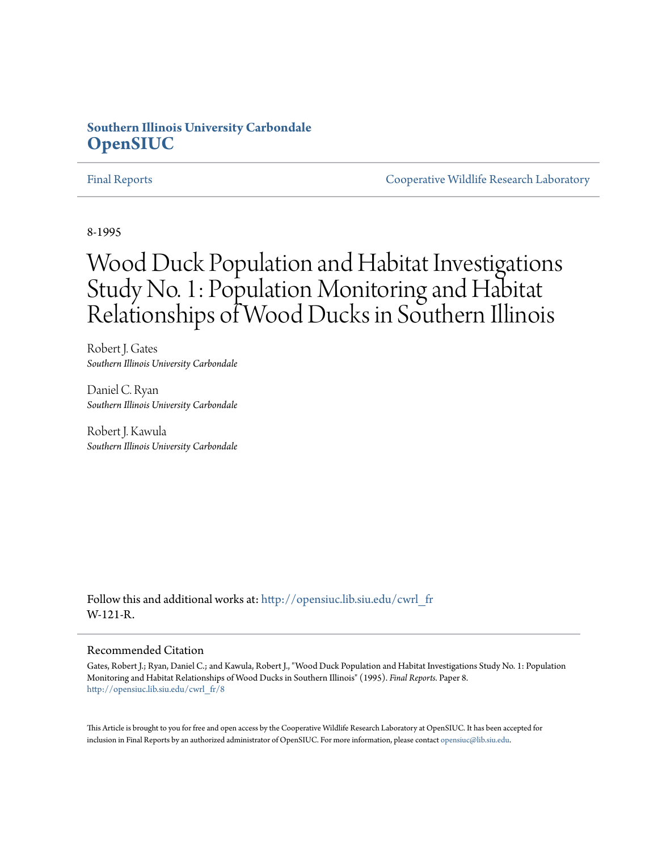# **Southern Illinois University Carbondale [OpenSIUC](http://opensiuc.lib.siu.edu?utm_source=opensiuc.lib.siu.edu%2Fcwrl_fr%2F8&utm_medium=PDF&utm_campaign=PDFCoverPages)**

[Final Reports](http://opensiuc.lib.siu.edu/cwrl_fr?utm_source=opensiuc.lib.siu.edu%2Fcwrl_fr%2F8&utm_medium=PDF&utm_campaign=PDFCoverPages) [Cooperative Wildlife Research Laboratory](http://opensiuc.lib.siu.edu/cwrl?utm_source=opensiuc.lib.siu.edu%2Fcwrl_fr%2F8&utm_medium=PDF&utm_campaign=PDFCoverPages)

8-1995

# Wood Duck Population and Habitat Investigations Study No. 1: Population Monitoring and Habitat Relationships of Wood Ducks in Southern Illinois

Robert J. Gates *Southern Illinois University Carbondale*

Daniel C. Ryan *Southern Illinois University Carbondale*

Robert J. Kawula *Southern Illinois University Carbondale*

Follow this and additional works at: [http://opensiuc.lib.siu.edu/cwrl\\_fr](http://opensiuc.lib.siu.edu/cwrl_fr?utm_source=opensiuc.lib.siu.edu%2Fcwrl_fr%2F8&utm_medium=PDF&utm_campaign=PDFCoverPages) W-121-R.

#### Recommended Citation

Gates, Robert J.; Ryan, Daniel C.; and Kawula, Robert J., "Wood Duck Population and Habitat Investigations Study No. 1: Population Monitoring and Habitat Relationships of Wood Ducks in Southern Illinois" (1995). *Final Reports.* Paper 8. [http://opensiuc.lib.siu.edu/cwrl\\_fr/8](http://opensiuc.lib.siu.edu/cwrl_fr/8?utm_source=opensiuc.lib.siu.edu%2Fcwrl_fr%2F8&utm_medium=PDF&utm_campaign=PDFCoverPages)

This Article is brought to you for free and open access by the Cooperative Wildlife Research Laboratory at OpenSIUC. It has been accepted for inclusion in Final Reports by an authorized administrator of OpenSIUC. For more information, please contact [opensiuc@lib.siu.edu](mailto:opensiuc@lib.siu.edu).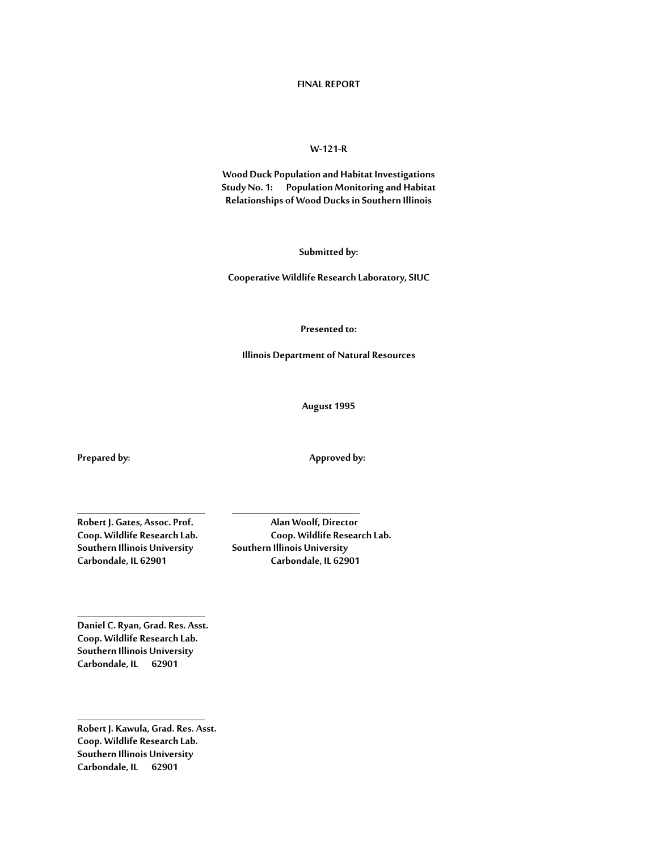#### **FINAL REPORT**

#### **W-121-R**

**Wood Duck Population and Habitat Investigations Study No. 1: Population Monitoring and Habitat Relationships of Wood Ducks in Southern Illinois**

**Submitted by:**

**Cooperative Wildlife Research Laboratory, SIUC**

#### **Presented to:**

**Illinois Department of Natural Resources**

**August 1995**

**Prepared by: Approved by:**

**\_\_\_\_\_\_\_\_\_\_\_\_\_\_\_\_\_\_\_\_\_\_\_\_\_\_\_\_\_\_ \_\_\_\_\_\_\_\_\_\_\_\_\_\_\_\_\_\_\_\_\_\_\_\_\_\_\_\_\_\_ Coop. Wildlife Research Lab. Coop. Wildlife Research Lab. Carbondale, IL 62901 Carbondale, IL 62901**

**Robert J. Gates, Assoc. Prof. Alan Woolf, Director Southern Illinois University Southern Illinois University**

**Daniel C. Ryan, Grad. Res. Asst. Coop. Wildlife Research Lab. Southern Illinois University Carbondale, IL 62901**

**\_\_\_\_\_\_\_\_\_\_\_\_\_\_\_\_\_\_\_\_\_\_\_\_\_\_\_\_\_\_**

**\_\_\_\_\_\_\_\_\_\_\_\_\_\_\_\_\_\_\_\_\_\_\_\_\_\_\_\_\_\_ Robert J. Kawula, Grad. Res. Asst. Coop. Wildlife Research Lab. Southern Illinois University Carbondale, IL 62901**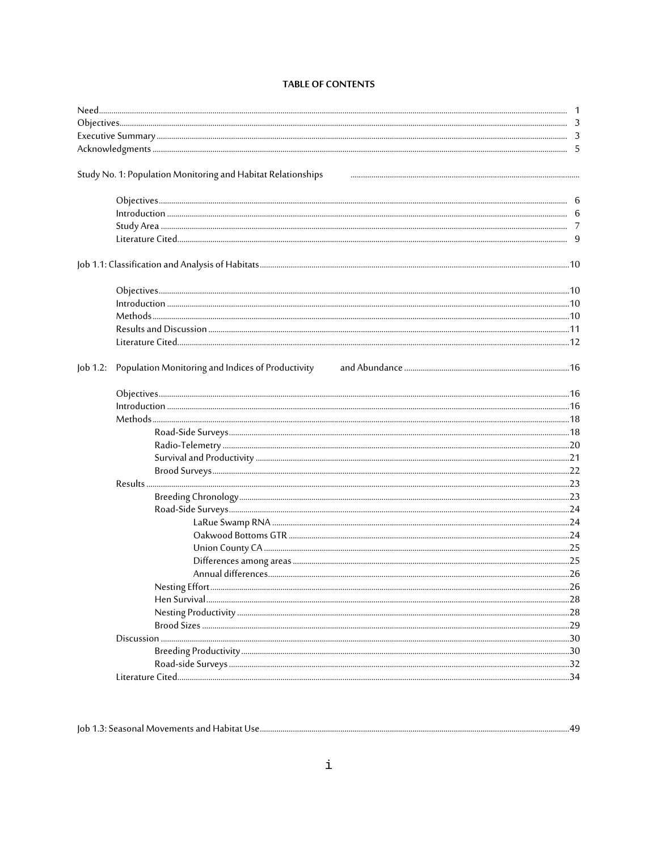# **TABLE OF CONTENTS**

|          | Study No. 1: Population Monitoring and Habitat Relationships |  |
|----------|--------------------------------------------------------------|--|
|          |                                                              |  |
|          |                                                              |  |
|          |                                                              |  |
|          |                                                              |  |
|          |                                                              |  |
|          |                                                              |  |
|          |                                                              |  |
|          |                                                              |  |
|          |                                                              |  |
|          |                                                              |  |
| Job 1.2: | Population Monitoring and Indices of Productivity            |  |
|          |                                                              |  |
|          |                                                              |  |
|          |                                                              |  |
|          |                                                              |  |
|          |                                                              |  |
|          |                                                              |  |
|          |                                                              |  |
|          |                                                              |  |
|          |                                                              |  |
|          |                                                              |  |
|          |                                                              |  |
|          |                                                              |  |
|          |                                                              |  |
|          |                                                              |  |
|          |                                                              |  |
|          |                                                              |  |
|          |                                                              |  |
|          |                                                              |  |
|          |                                                              |  |
|          |                                                              |  |
|          |                                                              |  |
|          |                                                              |  |
|          |                                                              |  |

| : Seasonal Movements and Habitat Use.<br>$10b$ 1.3: |
|-----------------------------------------------------|
|-----------------------------------------------------|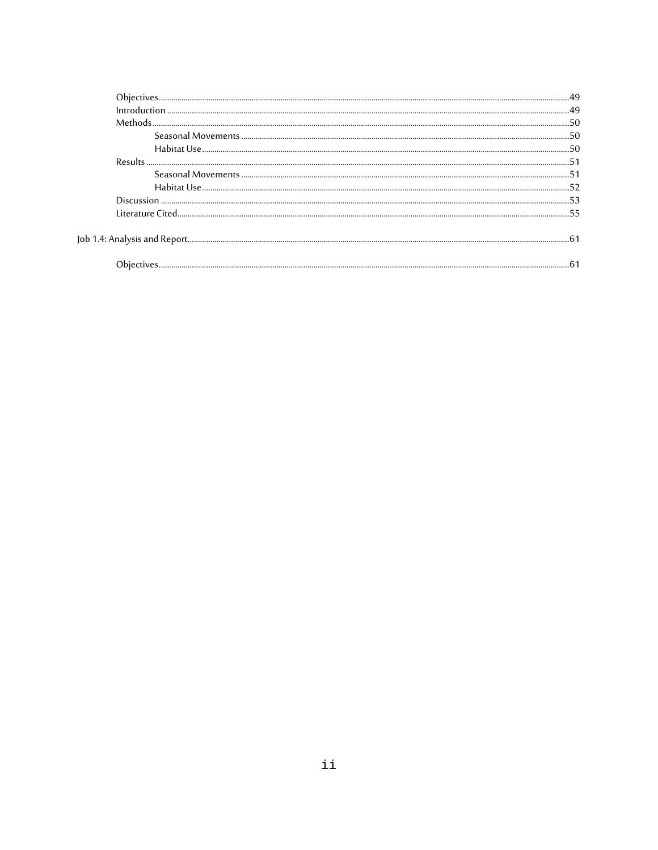| <b>Results</b>                                                                                                                                                                                                                       |  |
|--------------------------------------------------------------------------------------------------------------------------------------------------------------------------------------------------------------------------------------|--|
|                                                                                                                                                                                                                                      |  |
|                                                                                                                                                                                                                                      |  |
|                                                                                                                                                                                                                                      |  |
| <u>- 1998-1998 - 1998 - 1998 - 1998 - 1998 - 1998 - 1998 - 1998 - 1998 - 1998 - 1998 - 1998 - 1998 - 1998 - 1998 - 1998 - 1998 - 1998 - 1998 - 1998 - 1998 - 1998 - 1998 - 1998 - 1998 - 1998 - 1998 - 1998 - 1998 - 1998 - 1998</u> |  |
|                                                                                                                                                                                                                                      |  |

 $_{\rm{Job}}$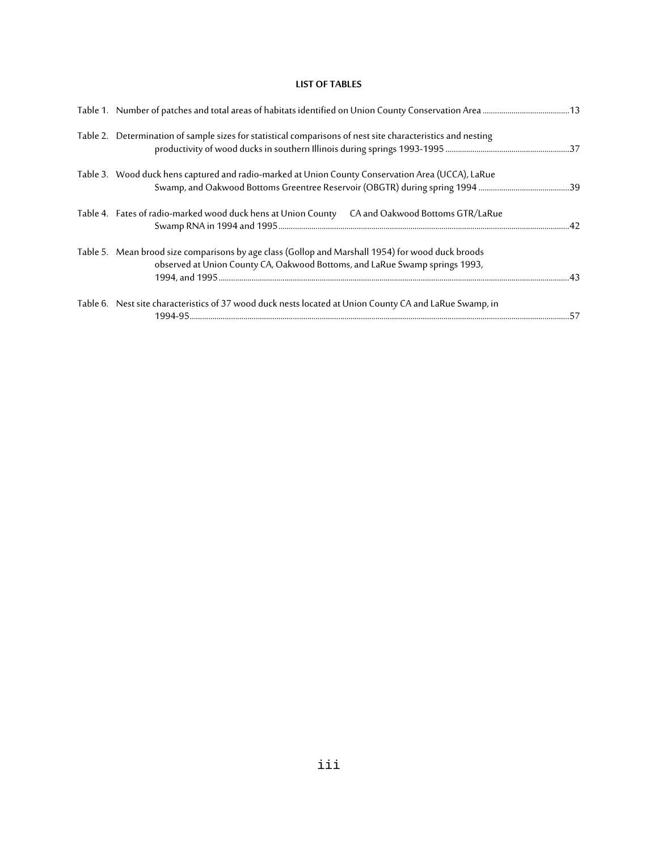# **LIST OF TABLES**

| Table 2. Determination of sample sizes for statistical comparisons of nest site characteristics and nesting                                                                      |  |
|----------------------------------------------------------------------------------------------------------------------------------------------------------------------------------|--|
| Table 3. Wood duck hens captured and radio-marked at Union County Conservation Area (UCCA), LaRue                                                                                |  |
| Table 4. Fates of radio-marked wood duck hens at Union County CA and Oakwood Bottoms GTR/LaRue                                                                                   |  |
| Table 5. Mean brood size comparisons by age class (Gollop and Marshall 1954) for wood duck broods<br>observed at Union County CA, Oakwood Bottoms, and LaRue Swamp springs 1993, |  |
| Table 6. Nest site characteristics of 37 wood duck nests located at Union County CA and LaRue Swamp, in                                                                          |  |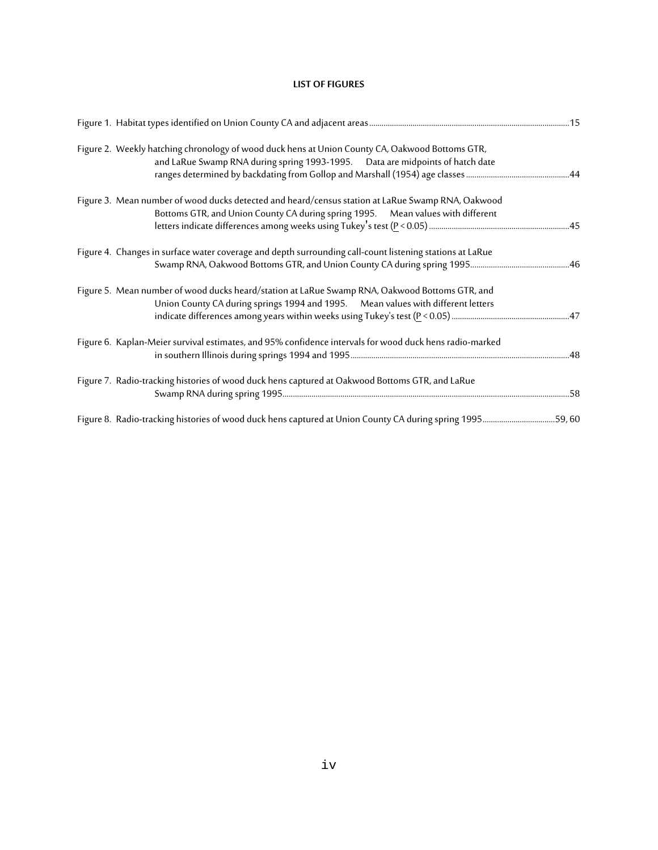# **LIST OF FIGURES**

| Figure 2. Weekly hatching chronology of wood duck hens at Union County CA, Oakwood Bottoms GTR,<br>and LaRue Swamp RNA during spring 1993-1995.  Data are midpoints of hatch date    |  |
|--------------------------------------------------------------------------------------------------------------------------------------------------------------------------------------|--|
| Figure 3. Mean number of wood ducks detected and heard/census station at LaRue Swamp RNA, Oakwood<br>Bottoms GTR, and Union County CA during spring 1995. Mean values with different |  |
| Figure 4. Changes in surface water coverage and depth surrounding call-count listening stations at LaRue                                                                             |  |
| Figure 5. Mean number of wood ducks heard/station at LaRue Swamp RNA, Oakwood Bottoms GTR, and<br>Union County CA during springs 1994 and 1995. Mean values with different letters   |  |
| Figure 6. Kaplan-Meier survival estimates, and 95% confidence intervals for wood duck hens radio-marked                                                                              |  |
| Figure 7. Radio-tracking histories of wood duck hens captured at Oakwood Bottoms GTR, and LaRue                                                                                      |  |
| Figure 8. Radio-tracking histories of wood duck hens captured at Union County CA during spring 199559,60                                                                             |  |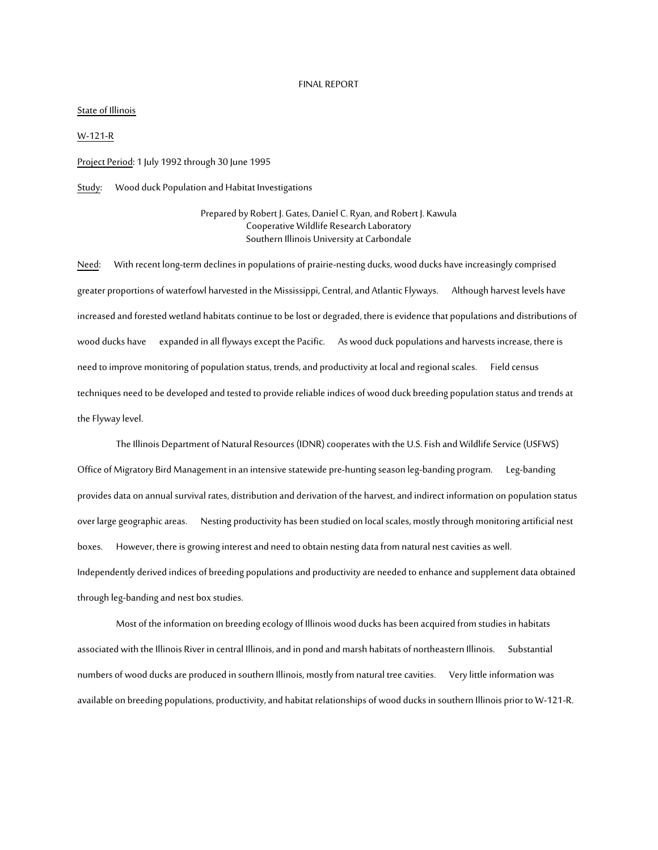#### FINAL REPORT

#### State of Illinois

W-121-R

Project Period: 1 July 1992 through 30 June 1995

Study: Wood duck Population and Habitat Investigations

Prepared by Robert J. Gates, Daniel C. Ryan, and Robert J. Kawula Cooperative Wildlife Research Laboratory Southern Illinois University at Carbondale

Need: With recent long-term declines in populations of prairie-nesting ducks, wood ducks have increasingly comprised greater proportions of waterfowl harvested in the Mississippi, Central, and Atlantic Flyways. Although harvest levels have increased and forested wetland habitats continue to be lost or degraded, there is evidence that populations and distributions of wood ducks have expanded in all flyways except the Pacific. As wood duck populations and harvests increase, there is need to improve monitoring of population status, trends, and productivity at local and regional scales. Field census techniques need to be developed and tested to provide reliable indices of wood duck breeding population status and trends at the Flyway level.

The Illinois Department of Natural Resources (IDNR) cooperates with the U.S. Fish and Wildlife Service (USFWS) Office of Migratory Bird Management in an intensive statewide pre-hunting season leg-banding program. Leg-banding provides data on annual survival rates, distribution and derivation of the harvest, and indirect information on population status over large geographic areas. Nesting productivity has been studied on local scales, mostly through monitoring artificial nest boxes. However, there is growing interest and need to obtain nesting data from natural nest cavities as well. Independently derived indices of breeding populations and productivity are needed to enhance and supplement data obtained through leg-banding and nest box studies.

Most of the information on breeding ecology of Illinois wood ducks has been acquired from studies in habitats associated with the Illinois River in central Illinois, and in pond and marsh habitats of northeastern Illinois. Substantial numbers of wood ducks are produced in southern Illinois, mostly from natural tree cavities. Very little information was available on breeding populations, productivity, and habitat relationships of wood ducks in southern Illinois prior to W-121-R.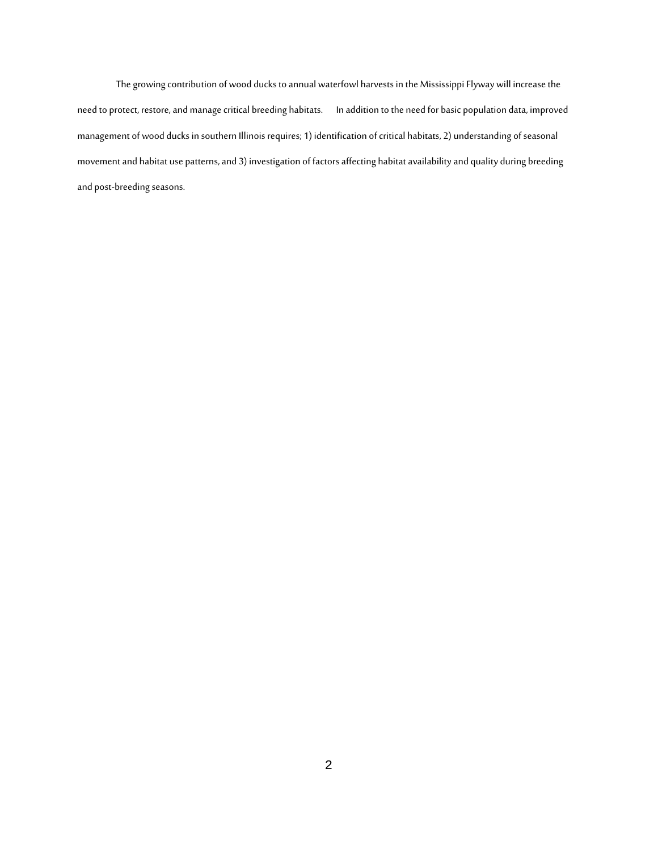The growing contribution of wood ducks to annual waterfowl harvests in the Mississippi Flyway will increase the need to protect, restore, and manage critical breeding habitats. In addition to the need for basic population data, improved management of wood ducks in southern Illinois requires; 1) identification of critical habitats, 2) understanding of seasonal movement and habitat use patterns, and 3) investigation of factors affecting habitat availability and quality during breeding and post-breeding seasons.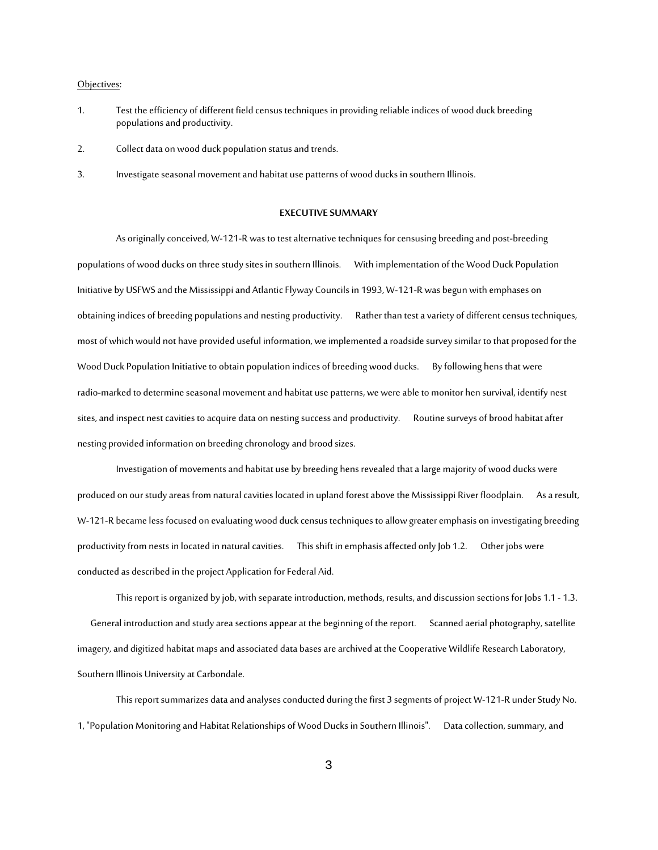#### Objectives:

- 1. Test the efficiency of different field census techniques in providing reliable indices of wood duck breeding populations and productivity.
- 2. Collect data on wood duck population status and trends.
- 3. Investigate seasonal movement and habitat use patterns of wood ducks in southern Illinois.

#### **EXECUTIVE SUMMARY**

As originally conceived, W-121-R was to test alternative techniques for censusing breeding and post-breeding populations of wood ducks on three study sites in southern Illinois. With implementation of the Wood Duck Population Initiative by USFWS and the Mississippi and Atlantic Flyway Councils in 1993, W-121-R was begun with emphases on obtaining indices of breeding populations and nesting productivity. Rather than test a variety of different census techniques, most of which would not have provided useful information, we implemented a roadside survey similar to that proposed for the Wood Duck Population Initiative to obtain population indices of breeding wood ducks. By following hens that were radio-marked to determine seasonal movement and habitat use patterns, we were able to monitor hen survival, identify nest sites, and inspect nest cavities to acquire data on nesting success and productivity. Routine surveys of brood habitat after nesting provided information on breeding chronology and brood sizes.

Investigation of movements and habitat use by breeding hens revealed that a large majority of wood ducks were produced on our study areas from natural cavities located in upland forest above the Mississippi River floodplain. As a result, W-121-R became less focused on evaluating wood duck census techniques to allow greater emphasis on investigating breeding productivity from nests in located in natural cavities. This shift in emphasis affected only Job 1.2. Other jobs were conducted as described in the project Application for Federal Aid.

This report is organized by job, with separate introduction, methods, results, and discussion sections for Jobs 1.1 - 1.3. General introduction and study area sections appear at the beginning of the report. Scanned aerial photography, satellite imagery, and digitized habitat maps and associated data bases are archived at the Cooperative Wildlife Research Laboratory, Southern Illinois University at Carbondale.

This report summarizes data and analyses conducted during the first 3 segments of project W-121-R under Study No. 1, "Population Monitoring and Habitat Relationships of Wood Ducks in Southern Illinois". Data collection, summary, and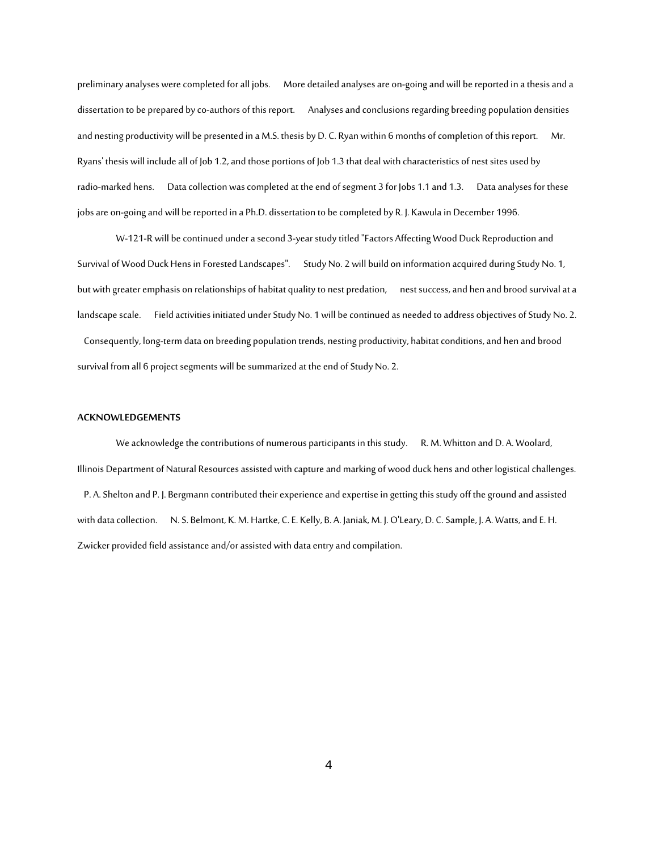preliminary analyses were completed for all jobs. More detailed analyses are on-going and will be reported in a thesis and a dissertation to be prepared by co-authors of this report. Analyses and conclusions regarding breeding population densities and nesting productivity will be presented in a M.S. thesis by D. C. Ryan within 6 months of completion of this report. Mr. Ryans' thesis will include all of Job 1.2, and those portions of Job 1.3 that deal with characteristics of nest sites used by radio-marked hens. Data collection was completed at the end of segment 3 for Jobs 1.1 and 1.3. Data analyses for these jobs are on-going and will be reported in a Ph.D. dissertation to be completed by R. J. Kawula in December 1996.

W-121-R will be continued under a second 3-year study titled "Factors Affecting Wood Duck Reproduction and Survival of Wood Duck Hens in Forested Landscapes". Study No. 2 will build on information acquired during Study No. 1, but with greater emphasis on relationships of habitat quality to nest predation, nest success, and hen and brood survival ata landscape scale. Field activities initiated under Study No. 1 will be continued as needed to address objectives of Study No. 2. Consequently, long-term data on breeding population trends, nesting productivity, habitat conditions, and hen and brood survival from all 6 project segments will be summarized at the end of Study No. 2.

#### **ACKNOWLEDGEMENTS**

We acknowledge the contributions of numerous participants in this study. R. M. Whitton and D. A. Woolard, Illinois Department of Natural Resources assisted with capture and marking of wood duck hens and other logistical challenges. P. A. Shelton and P. J. Bergmann contributed their experience and expertise in getting this study off the ground and assisted with data collection. N. S. Belmont, K. M. Hartke, C. E. Kelly, B. A. Janiak, M. J. O'Leary, D. C. Sample, J. A. Watts, and E. H. Zwicker provided field assistance and/or assisted with data entry and compilation.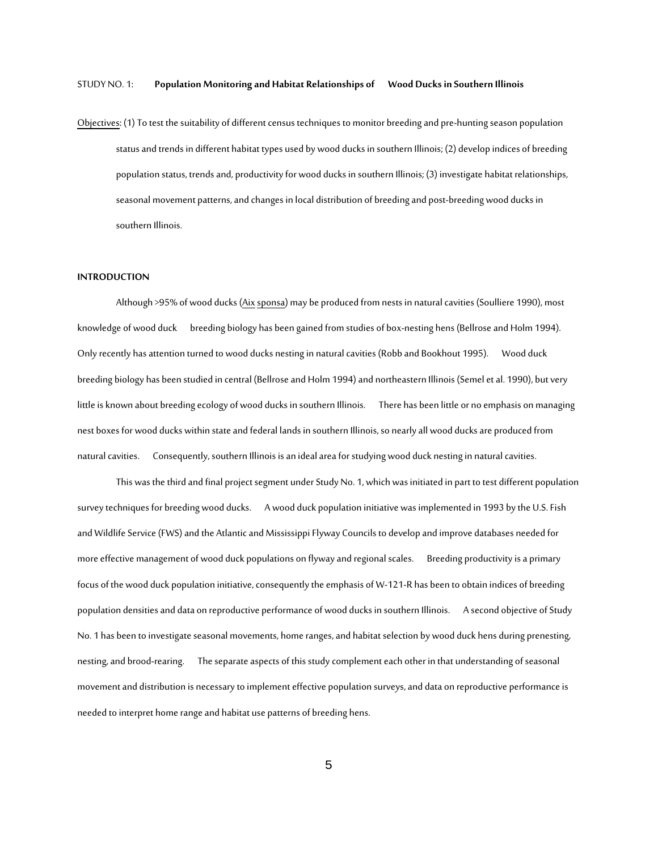#### STUDY NO. 1: **Population Monitoring and Habitat Relationships of Wood Ducks in Southern Illinois**

Objectives: (1) To test the suitability of different census techniques to monitor breeding and pre-hunting season population status and trends in different habitat types used by wood ducks in southern Illinois; (2) develop indices of breeding population status, trends and, productivity for wood ducks in southern Illinois; (3) investigate habitat relationships, seasonal movement patterns, and changes in local distribution of breeding and post-breeding wood ducks in southern Illinois.

#### **INTRODUCTION**

Although >95% of wood ducks (Aixsponsa) may be produced from nests in natural cavities (Soulliere 1990), most knowledge of wood duck breeding biology has been gained from studies of box-nesting hens (Bellrose and Holm 1994). Only recently has attention turned to wood ducks nesting in natural cavities (Robb and Bookhout 1995). Wood duck breeding biology has been studied in central (Bellrose and Holm 1994) and northeastern Illinois (Semel et al. 1990), but very little is known about breeding ecology of wood ducks in southern Illinois. There has been little or no emphasis on managing nest boxes for wood ducks within state and federal lands in southern Illinois, so nearly all wood ducks are produced from natural cavities. Consequently, southern Illinois is an ideal area for studying wood duck nesting in natural cavities.

This was the third and final project segment under Study No. 1, which was initiated in part to test different population survey techniques for breeding wood ducks. A wood duck population initiative was implemented in 1993 by the U.S. Fish and Wildlife Service (FWS) and the Atlantic and Mississippi Flyway Councils to develop and improve databases needed for more effective management of wood duck populations on flyway and regional scales. Breeding productivity is a primary focus of the wood duck population initiative, consequently the emphasis of W-121-R has been to obtain indices of breeding population densities and data on reproductive performance of wood ducks in southern Illinois. A second objective of Study No. 1 has been to investigate seasonal movements, home ranges, and habitat selection by wood duck hens during prenesting, nesting, and brood-rearing. The separate aspects of this study complement each other in that understanding of seasonal movement and distribution is necessary to implement effective population surveys, and data on reproductive performance is needed to interpret home range and habitat use patterns of breeding hens.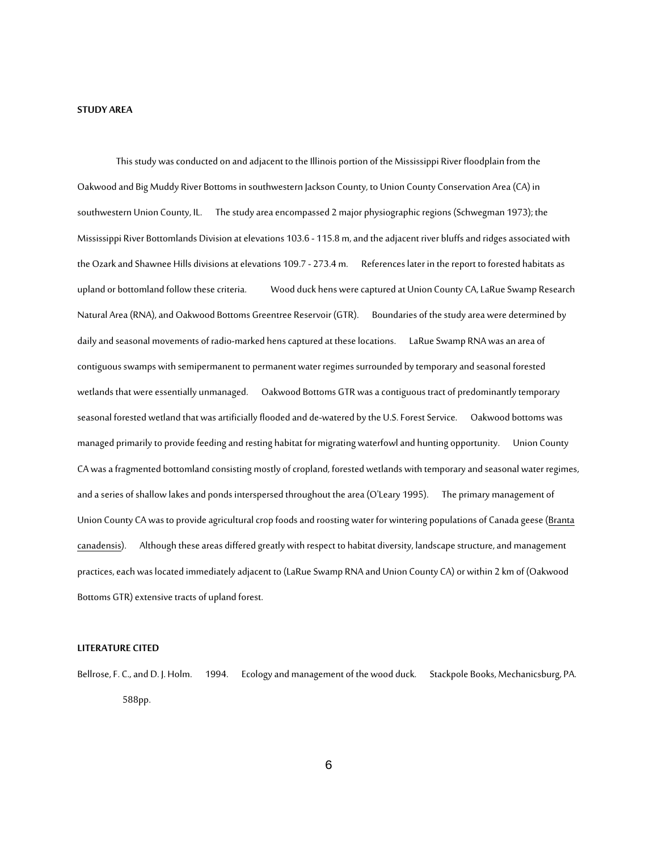#### **STUDY AREA**

This study was conducted on and adjacent to the Illinois portion of the Mississippi River floodplain from the Oakwood and Big Muddy River Bottoms in southwestern Jackson County, to Union County Conservation Area (CA) in southwestern Union County, IL. The study area encompassed 2 major physiographic regions (Schwegman 1973); the Mississippi River Bottomlands Division at elevations 103.6 - 115.8 m, and the adjacent river bluffs and ridges associated with the Ozark and Shawnee Hills divisions at elevations 109.7 - 273.4 m. References later in the report to forested habitats as upland or bottomland follow these criteria. Wood duck hens were captured at Union County CA, LaRue Swamp Research Natural Area (RNA), and Oakwood Bottoms Greentree Reservoir (GTR). Boundaries of the study area were determined by daily and seasonal movements of radio-marked hens captured at these locations. LaRue Swamp RNA was an area of contiguous swamps with semipermanent to permanent water regimes surrounded by temporary and seasonal forested wetlands that were essentially unmanaged. Oakwood Bottoms GTR was acontiguous tract of predominantly temporary seasonal forested wetland that was artificially flooded and de-watered by the U.S. Forest Service. Oakwood bottoms was managed primarily to provide feeding and resting habitat for migrating waterfowl and hunting opportunity. Union County CA was a fragmented bottomland consisting mostly of cropland, forested wetlands with temporary and seasonal water regimes, and a series of shallow lakes and ponds interspersed throughout the area (O'Leary 1995). The primary management of Union County CA was to provide agricultural crop foods and roosting water for wintering populations of Canada geese (Branta canadensis). Although these areas differed greatly with respect to habitat diversity, landscape structure, and management practices, each was located immediately adjacent to (LaRue Swamp RNA and Union County CA) or within 2 km of (Oakwood Bottoms GTR) extensive tracts of upland forest.

#### **LITERATURE CITED**

Bellrose, F. C., and D. J. Holm. 1994. Ecology and management of the wood duck. Stackpole Books, Mechanicsburg, PA. 588pp.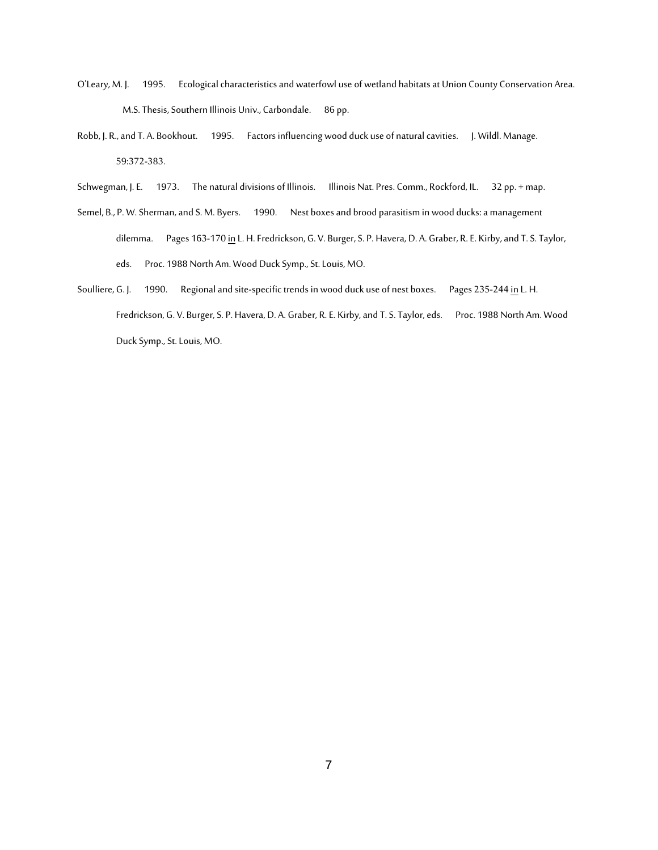- O'Leary, M. J. 1995. Ecological characteristics and waterfowl use of wetland habitats at Union County Conservation Area. M.S. Thesis, Southern Illinois Univ., Carbondale. 86 pp.
- Robb, J. R., and T. A. Bookhout. 1995. Factors influencing wood duck use of natural cavities. J. Wildl. Manage. 59:372-383.
- Schwegman, J. E. 1973. The natural divisions of Illinois. Illinois Nat. Pres. Comm., Rockford, IL. 32 pp. + map.
- Semel, B., P. W. Sherman, and S. M. Byers. 1990. Nest boxes and brood parasitism in wood ducks: a management dilemma. Pages 163-170 in L. H. Fredrickson, G. V. Burger, S. P. Havera, D. A. Graber, R. E. Kirby, and T. S. Taylor, eds. Proc. 1988 North Am. Wood Duck Symp., St. Louis, MO.
- Soulliere, G. J. 1990. Regional and site-specific trends in wood duck use of nest boxes. Pages 235-244 in L. H. Fredrickson, G. V. Burger, S. P. Havera, D. A. Graber, R. E. Kirby, and T. S. Taylor, eds. Proc. 1988 North Am. Wood Duck Symp., St. Louis, MO.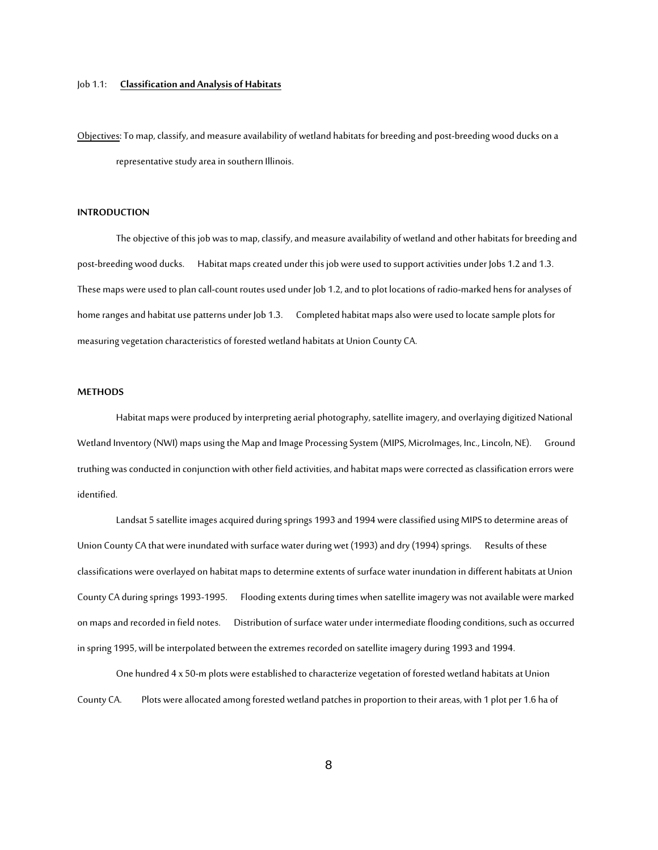#### Job 1.1: **Classification and Analysis of Habitats**

Objectives: To map, classify, and measure availability of wetland habitats for breeding and post-breeding wood ducks on a representative study area in southern Illinois.

#### **INTRODUCTION**

The objective of this job was to map, classify, and measure availability of wetland and other habitats for breeding and post-breeding wood ducks. Habitat maps created under this job were used to support activities under Jobs 1.2 and 1.3. These maps were used to plan call-count routes used under Job 1.2, and to plot locations of radio-marked hens for analyses of home ranges and habitat use patterns under Job 1.3. Completed habitat maps also were used to locate sample plots for measuring vegetation characteristics of forested wetland habitats at Union County CA.

#### **METHODS**

Habitat maps were produced by interpreting aerial photography, satellite imagery, and overlaying digitized National Wetland Inventory (NWI) maps using the Map and Image Processing System (MIPS, MicroImages, Inc., Lincoln, NE). Ground truthing was conducted in conjunction with other field activities, and habitat maps were corrected as classification errors were identified.

Landsat 5 satellite images acquired during springs 1993 and 1994 were classified using MIPS to determine areas of Union County CA that were inundated with surface water during wet (1993) and dry (1994) springs. Results of these classifications were overlayed on habitat maps to determine extents of surface water inundation in different habitats at Union County CA during springs 1993-1995. Flooding extents during times when satellite imagery was not available were marked on maps and recorded in field notes. Distribution of surface water under intermediate flooding conditions, such as occurred in spring 1995, will be interpolated between the extremes recorded on satellite imagery during 1993 and 1994.

One hundred 4 x 50-m plots were established to characterize vegetation of forested wetland habitats at Union County CA. Plots were allocated among forested wetland patches in proportion to their areas, with 1 plot per 1.6 ha of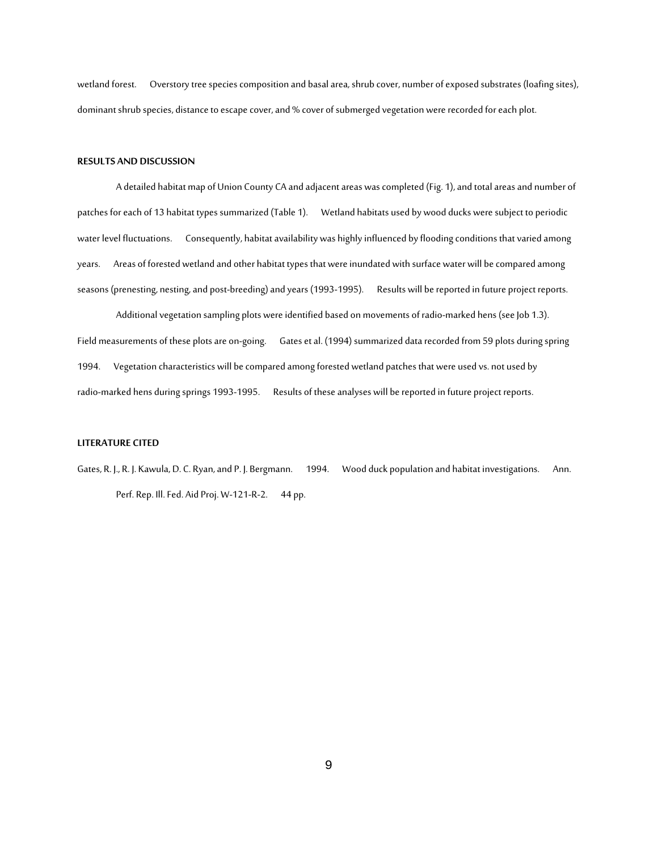wetland forest. Overstory tree species composition and basal area, shrub cover, number of exposed substrates (loafing sites), dominant shrub species, distance to escape cover, and % cover of submerged vegetation were recorded for each plot.

#### **RESULTS AND DISCUSSION**

A detailed habitat map of Union County CA and adjacent areas was completed (Fig. 1), and total areas and number of patches for each of 13 habitat types summarized (Table 1). Wetland habitats used by wood ducks were subject to periodic water level fluctuations. Consequently, habitat availability was highly influenced by flooding conditions that varied among years. Areas of forested wetland and other habitat types that were inundated with surface water will be compared among seasons (prenesting, nesting, and post-breeding) and years (1993-1995). Results will be reported in future project reports.

Additional vegetation sampling plots were identified based on movements of radio-marked hens (see Job 1.3). Field measurements of these plots are on-going. Gates et al. (1994) summarized data recorded from 59 plots during spring 1994. Vegetation characteristics will be compared among forested wetland patches that were used vs. not used by radio-marked hens during springs 1993-1995. Results of these analyses will be reported in future project reports.

#### **LITERATURE CITED**

Gates, R. J., R. J. Kawula, D. C. Ryan, and P. J. Bergmann. 1994. Wood duck population and habitat investigations. Ann. Perf. Rep. Ill. Fed. Aid Proj. W-121-R-2. 44 pp.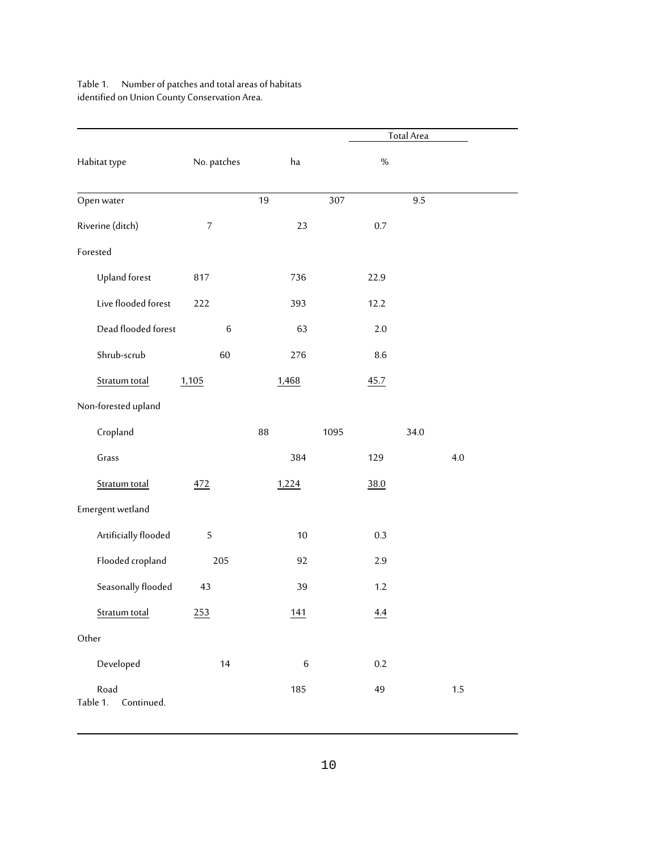# Table 1. Number of patches and total areas of habitats identified on Union County Conservation Area.

|                                |                |         |         | <b>Total Area</b> |  |
|--------------------------------|----------------|---------|---------|-------------------|--|
| Habitat type                   | No. patches    | ha      | $\%$    |                   |  |
| Open water                     |                | 19      | 307     | 9.5               |  |
| Riverine (ditch)               | $\overline{7}$ | 23      | 0.7     |                   |  |
| Forested                       |                |         |         |                   |  |
| Upland forest                  | 817            | 736     | 22.9    |                   |  |
| Live flooded forest            | 222            | 393     | 12.2    |                   |  |
| Dead flooded forest            | $\,6$          | 63      | 2.0     |                   |  |
| Shrub-scrub                    | 60             | 276     | 8.6     |                   |  |
| Stratum total                  | 1,105          | 1,468   | 45.7    |                   |  |
| Non-forested upland            |                |         |         |                   |  |
| Cropland                       |                | 88      | 1095    | 34.0              |  |
| Grass                          |                | 384     | 129     | 4.0               |  |
| Stratum total                  | 472            | 1,224   | 38.0    |                   |  |
| Emergent wetland               |                |         |         |                   |  |
| Artificially flooded           | 5              | 10      | 0.3     |                   |  |
| Flooded cropland               | 205            | 92      | 2.9     |                   |  |
| Seasonally flooded             | 43             | 39      | $1.2\,$ |                   |  |
| Stratum total                  | 253            | 141     | 4.4     |                   |  |
| Other                          |                |         |         |                   |  |
| Developed                      | 14             | $\,6\,$ | $0.2\,$ |                   |  |
| Road<br>Table 1.<br>Continued. |                | 185     | 49      | $1.5\,$           |  |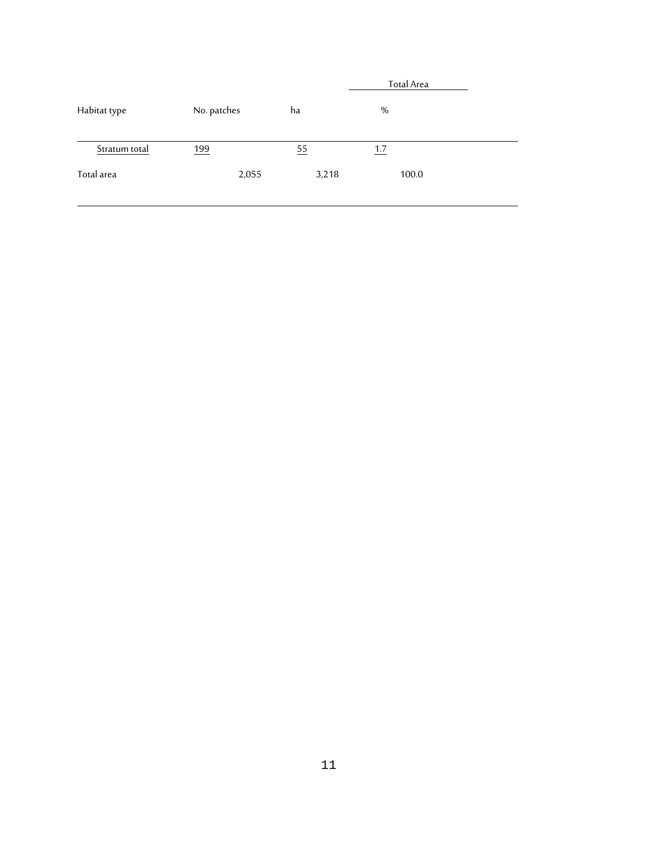|               |             |       | Total Area |
|---------------|-------------|-------|------------|
| Habitat type  | No. patches | ha    | %          |
| Stratum total | 199         | 55    | 1.7        |
| Total area    | 2,055       | 3,218 | 100.0      |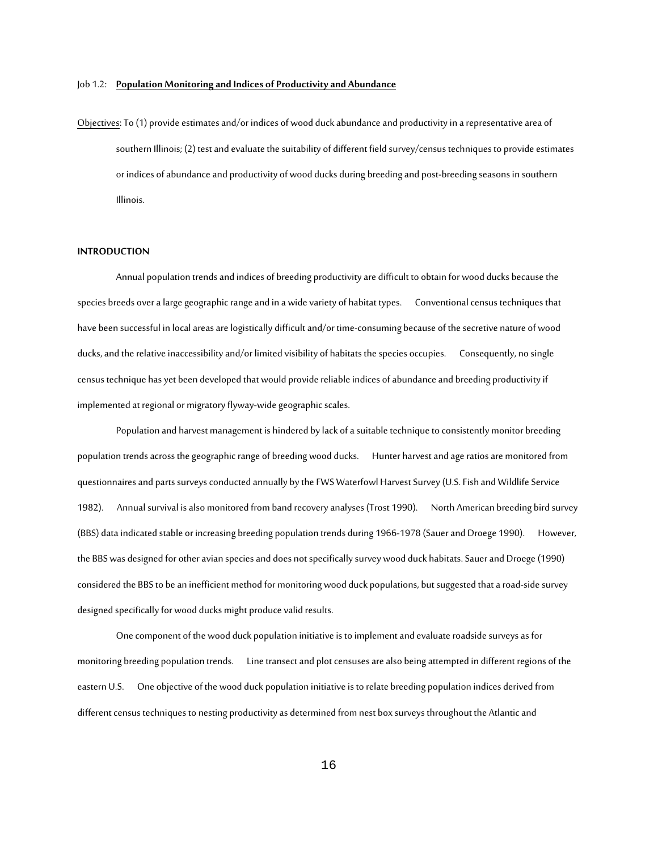#### Job 1.2: **Population Monitoring and Indices of Productivity and Abundance**

Objectives: To (1) provide estimates and/or indices of wood duck abundance and productivity in a representative area of southern Illinois; (2) test and evaluate the suitability of different field survey/census techniques to provide estimates or indices of abundance and productivity of wood ducks during breeding and post-breeding seasons in southern Illinois.

#### **INTRODUCTION**

Annual population trends and indices of breeding productivity are difficult to obtain for wood ducks because the species breeds over a large geographic range and in a wide variety of habitat types. Conventional census techniques that have been successful in local areas are logistically difficult and/or time-consuming because of the secretive nature of wood ducks, and the relative inaccessibility and/or limited visibility of habitats the species occupies. Consequently, no single census technique has yet been developed that would provide reliable indices of abundance and breeding productivity if implemented at regional or migratory flyway-wide geographic scales.

Population and harvest management is hindered by lack of a suitable technique to consistently monitor breeding population trends across the geographic range of breeding wood ducks. Hunter harvest and age ratios are monitored from questionnaires and parts surveys conducted annually by the FWS Waterfowl Harvest Survey (U.S. Fish and Wildlife Service 1982). Annual survival is also monitored from band recovery analyses (Trost 1990). North American breeding bird survey (BBS) data indicated stable or increasing breeding population trends during 1966-1978 (Sauer and Droege 1990). However, the BBS was designed for other avian species and does not specifically survey wood duck habitats. Sauer and Droege (1990) considered the BBS to be an inefficient method for monitoring wood duck populations, but suggested that a road-side survey designed specifically for wood ducks might produce valid results.

One component of the wood duck population initiative is to implement and evaluate roadside surveys as for monitoring breeding population trends. Line transect and plot censuses are also being attempted in different regions of the eastern U.S. One objective of the wood duck population initiative is to relate breeding population indices derived from different census techniques to nesting productivity as determined from nest box surveys throughout the Atlantic and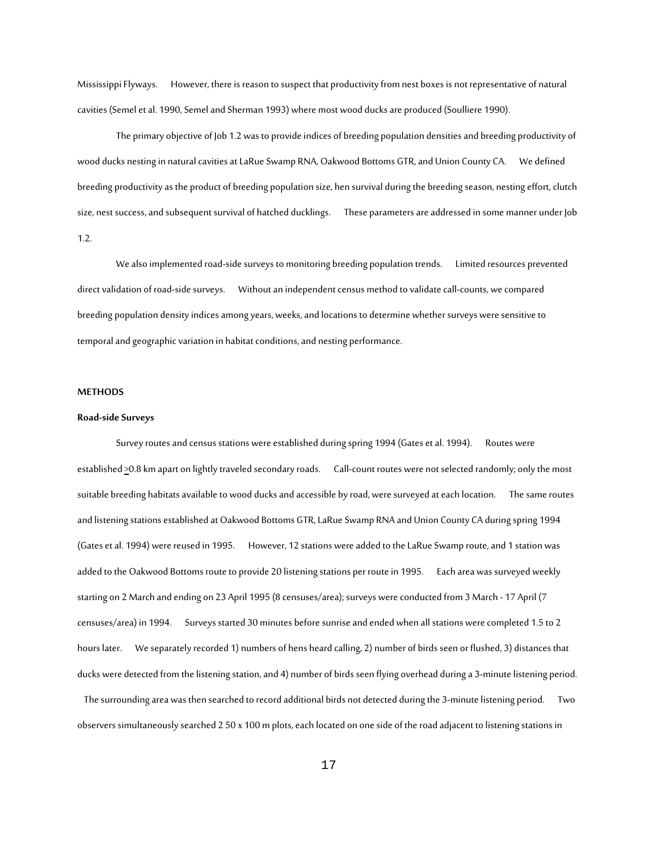Mississippi Flyways. However, there is reason to suspect that productivity from nest boxes is not representative of natural cavities (Semel et al. 1990, Semel and Sherman 1993) where most wood ducks are produced (Soulliere 1990).

The primary objective of Job 1.2 was to provide indices of breeding population densities and breeding productivity of wood ducks nesting in natural cavities at LaRue Swamp RNA, Oakwood Bottoms GTR, and Union County CA. We defined breeding productivity as the product of breeding population size, hen survival during the breeding season, nesting effort, clutch size, nest success, and subsequent survival of hatched ducklings. These parameters are addressed in some manner under Job 1.2.

We also implemented road-side surveys to monitoring breeding population trends. Limited resources prevented direct validation of road-side surveys. Without an independent census method to validate call-counts, we compared breeding population density indices among years, weeks, and locations to determine whether surveys were sensitive to temporal and geographic variation in habitat conditions, and nesting performance.

#### **METHODS**

#### **Road-side Surveys**

Survey routes and census stations were established during spring 1994 (Gates et al. 1994). Routes were established >0.8 km apart on lightly traveled secondary roads. Call-count routes were not selected randomly; only the most suitable breeding habitats available to wood ducks and accessible by road, were surveyed at each location. The same routes and listening stations established at Oakwood Bottoms GTR, LaRue Swamp RNA and Union County CA during spring 1994 (Gates et al. 1994) were reused in 1995. However, 12 stations were added to the LaRue Swamp route, and 1 station was added to the Oakwood Bottoms route to provide 20 listening stations per route in 1995. Each area was surveyed weekly starting on 2 March and ending on 23 April 1995 (8 censuses/area); surveys were conducted from 3 March - 17 April (7 censuses/area) in 1994. Surveys started 30 minutes before sunrise and ended when all stations were completed 1.5 to 2 hours later. We separately recorded 1) numbers of hens heard calling, 2) number of birds seen or flushed, 3) distances that ducks were detected from thelistening station, and 4) number of birds seen flying overhead during a 3-minute listening period.

The surrounding area was then searched to record additional birds not detected during the 3-minute listening period. Two observers simultaneously searched 2 50 x 100 m plots, each located on one side of the road adjacent to listening stations in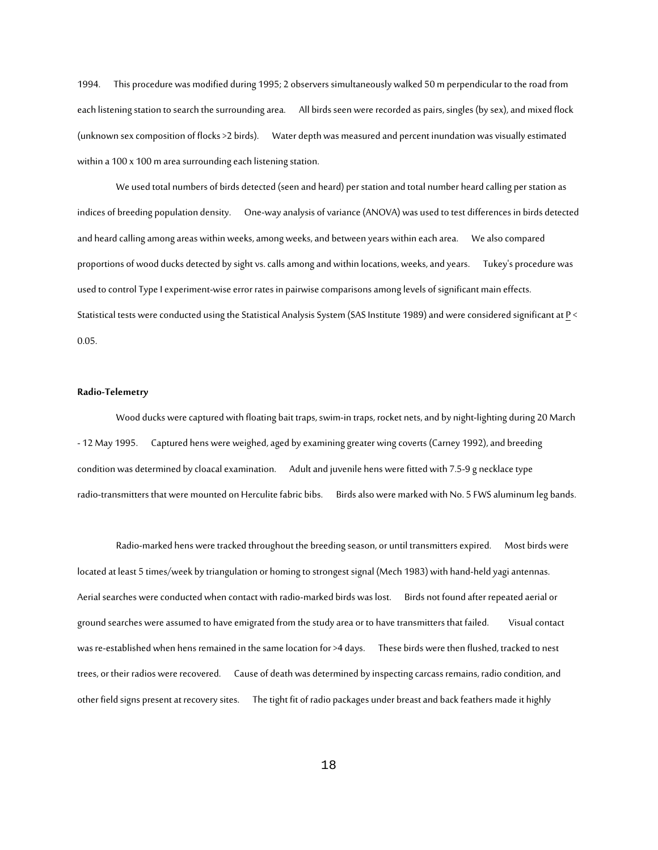1994. This procedure was modified during 1995; 2 observers simultaneously walked 50 m perpendicular to the road from each listening station to search the surrounding area. All birds seen were recorded as pairs, singles (by sex), and mixed flock (unknown sex composition of flocks >2 birds). Water depth was measured and percent inundation was visually estimated within a 100 x 100 m area surrounding each listening station.

We used total numbers of birds detected (seen and heard) per station and total number heard calling per station as indices of breeding population density. One-way analysis of variance (ANOVA) was used to test differences in birds detected and heard calling among areas within weeks, among weeks, and between years within each area. We also compared proportions of wood ducks detected by sight vs. calls among and within locations, weeks, and years. Tukey's procedure was used to control Type I experiment-wise error rates in pairwise comparisons among levels of significant main effects. Statistical tests were conducted using the Statistical Analysis System (SAS Institute 1989) and were considered significant at P < 0.05.

### **Radio-Telemetry**

Wood ducks were captured with floating bait traps, swim-in traps, rocket nets, and by night-lighting during 20 March - 12 May 1995. Captured hens were weighed, aged by examining greater wing coverts (Carney 1992), and breeding condition was determined by cloacal examination. Adult and juvenile hens were fitted with 7.5-9 g necklace type radio-transmitters that were mounted on Herculite fabric bibs. Birds also were marked with No. 5 FWS aluminum leg bands.

Radio-marked hens were tracked throughout the breeding season, or until transmitters expired. Most birds were located at least 5 times/week by triangulation or homing to strongest signal (Mech 1983) with hand-held yagi antennas. Aerial searches were conducted when contact with radio-marked birds was lost. Birds not found after repeated aerial or ground searches were assumed to have emigrated from the study area or to have transmitters that failed. Visual contact was re-established when hens remained in the same location for >4 days. These birds were then flushed, tracked to nest trees, or their radios were recovered. Cause of death was determined by inspecting carcass remains, radio condition, and other field signs present at recovery sites. The tight fit of radio packages under breast and back feathers made it highly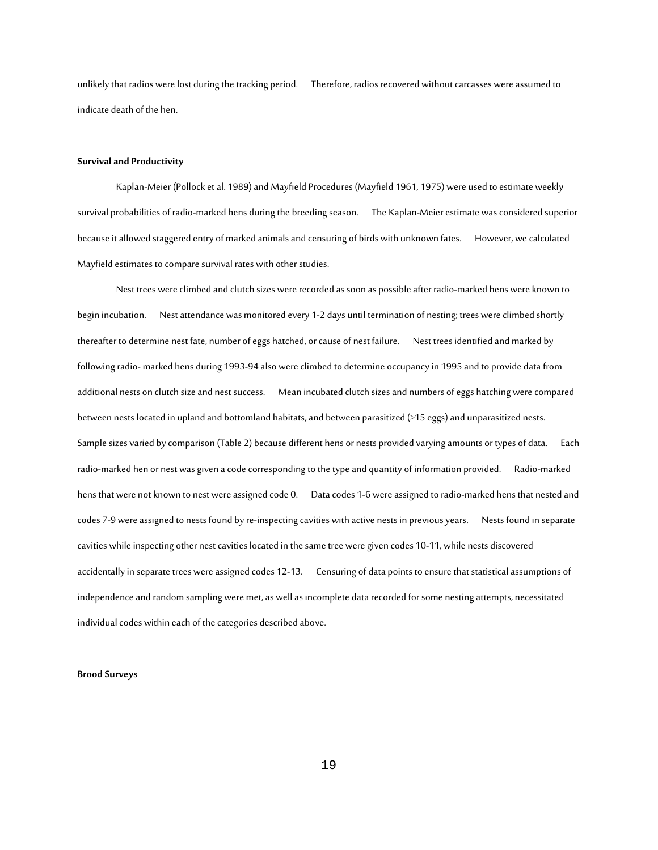unlikely that radios were lost during the tracking period. Therefore, radios recovered without carcasses were assumed to indicate death of the hen.

#### **Survival and Productivity**

Kaplan-Meier (Pollock et al. 1989) and Mayfield Procedures (Mayfield 1961, 1975) were used to estimate weekly survival probabilities of radio-marked hens during the breeding season. The Kaplan-Meier estimate was considered superior because it allowed staggered entry of marked animals and censuring of birds with unknown fates. However, we calculated Mayfield estimates to compare survival rates with other studies.

Nest trees were climbed and clutch sizes were recorded as soon as possible after radio-marked hens were known to begin incubation. Nest attendance was monitored every 1-2 days until termination of nesting; trees were climbed shortly thereafter to determine nest fate, number of eggs hatched, or cause of nest failure. Nest trees identified and marked by following radio-marked hens during 1993-94 also were climbed to determine occupancy in 1995 and to provide data from additional nests on clutch size and nest success. Mean incubated clutch sizes and numbers of eggs hatching were compared between nests located in upland and bottomland habitats, and between parasitized (>15 eggs) and unparasitized nests. Sample sizes varied by comparison (Table 2) because different hens or nests provided varying amounts or types of data. Each radio-marked hen or nest was given a code corresponding to the type and quantity of information provided. Radio-marked hens that were not known to nest were assigned code 0. Data codes 1-6 were assigned to radio-marked hens that nested and codes 7-9 were assigned to nests found by re-inspecting cavities with active nests in previous years. Nests found in separate cavities while inspecting other nest cavities located in the same tree were given codes 10-11, while nests discovered accidentally in separate trees were assigned codes 12-13. Censuring of data points to ensure that statistical assumptions of independence and random sampling were met, as well as incomplete data recorded for some nesting attempts, necessitated individual codes within each of the categories described above.

#### **Brood Surveys**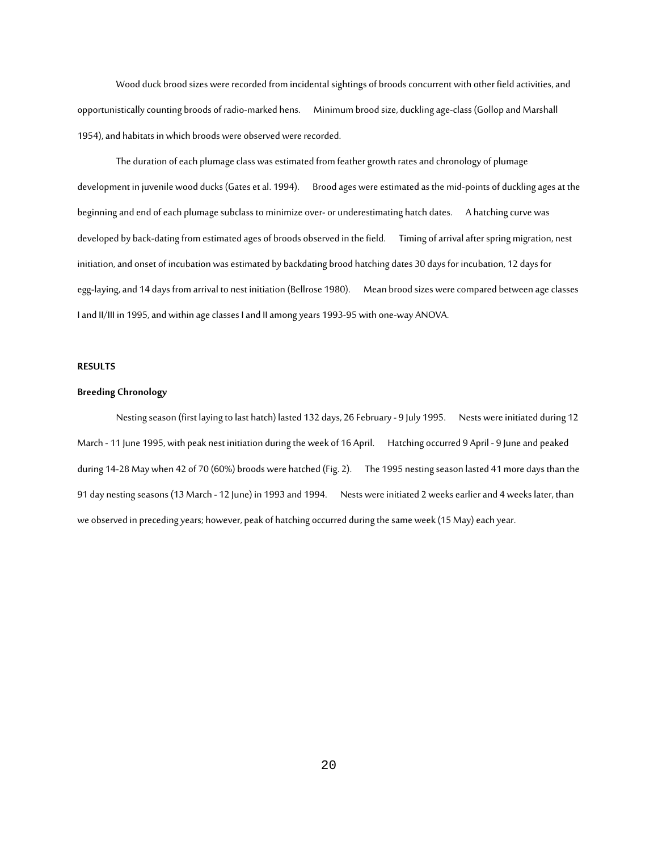Wood duck brood sizes were recorded from incidental sightings of broods concurrent with other field activities, and opportunistically counting broods of radio-marked hens. Minimum brood size, duckling age-class (Gollop and Marshall 1954), and habitats in which broods were observed were recorded.

The duration of each plumage class was estimated from feather growth rates and chronology of plumage development in juvenile wood ducks (Gates et al. 1994). Brood ages were estimated as the mid-points of duckling ages at the beginning and end of each plumage subclass to minimize over- or underestimating hatch dates. A hatching curve was developed by back-dating from estimated ages of broods observed in the field. Timing of arrival after spring migration, nest initiation, and onset of incubation was estimated by backdating brood hatching dates 30 days for incubation, 12 days for egg-laying, and 14 days from arrival to nest initiation (Bellrose 1980). Mean brood sizes were compared between age classes I and II/III in 1995, and within age classes I and II among years 1993-95 with one-way ANOVA.

#### **RESULTS**

#### **Breeding Chronology**

Nesting season (first laying to last hatch) lasted 132 days, 26 February - 9 July 1995. Nests were initiated during 12 March - 11 June 1995, with peak nest initiation during the week of 16 April. Hatching occurred 9 April - 9 June and peaked during 14-28May when 42 of 70 (60%) broods were hatched (Fig. 2). The 1995 nesting season lasted 41 more days than the 91 day nesting seasons (13 March - 12 June) in 1993 and 1994. Nests were initiated 2 weeks earlier and 4 weeks later, than we observed in preceding years; however, peak of hatching occurred during the same week (15 May) each year.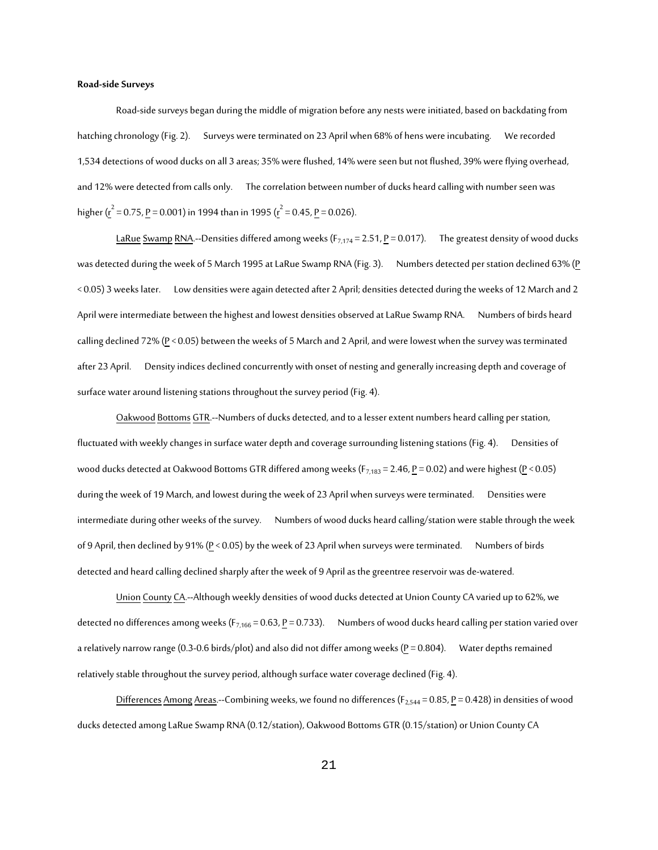#### **Road-side Surveys**

Road-side surveys began during the middle of migration before any nests were initiated, based on backdating from hatching chronology (Fig. 2). Surveys were terminated on 23 April when 68% of hens were incubating. We recorded 1,534 detections of wood ducks on all 3 areas; 35% were flushed, 14% were seen but not flushed, 39% were flying overhead, and 12% were detected from calls only. The correlation between number of ducks heard calling with number seen was higher ( $r^2 = 0.75$ , <u>P</u> = 0.001) in 1994 than in 1995 ( $r^2 = 0.45$ , <u>P</u> = 0.026).

LaRue Swamp RNA.--Densities differed among weeks ( $F_{7,174}$  = 2.51, P = 0.017). The greatest density of wood ducks was detected during the week of 5 March 1995 at LaRue Swamp RNA (Fig. 3). Numbers detected per station declined 63% (P < 0.05) 3 weeks later. Low densities were again detected after 2 April; densities detected during the weeks of 12 March and 2 April were intermediate between the highest and lowest densities observed at LaRue Swamp RNA. Numbers of birds heard calling declined 72% ( $P < 0.05$ ) between the weeks of 5 March and 2 April, and were lowest when the survey was terminated after 23 April. Density indices declined concurrently with onset of nesting and generally increasing depth and coverage of surface water around listening stations throughout the survey period (Fig. 4).

Oakwood Bottoms GTR.--Numbers of ducks detected, and to a lesser extent numbers heard calling per station, fluctuated with weekly changes in surface water depth and coverage surrounding listening stations (Fig. 4). Densities of wood ducks detected at Oakwood Bottoms GTR differed among weeks ( $F_{7,183}$  = 2.46, P = 0.02) and were highest (P < 0.05) during the week of 19 March, and lowest during the week of 23 April when surveys were terminated. Densities were intermediate during other weeks of the survey. Numbers of wood ducks heard calling/station were stable through the week of 9 April, then declined by 91% (P < 0.05) by the week of 23 April when surveys were terminated. Numbers of birds detected and heard calling declined sharply after the week of 9 April as the greentree reservoir was de-watered.

Union County CA.--Although weekly densities of wood ducks detected at Union County CA varied up to 62%, we detected no differences among weeks (F<sub>7,166</sub> = 0.63, <u>P</u> = 0.733). Numbers of wood ducks heard calling per station varied over a relatively narrow range (0.3-0.6 birds/plot) and also did not differ among weeks ( $P = 0.804$ ). Water depths remained relatively stable throughout the survey period, although surface water coverage declined (Fig. 4).

Differences Among Areas.--Combining weeks, we found no differences (F<sub>2,544</sub> = 0.85, P = 0.428) in densities of wood ducks detected among LaRue Swamp RNA (0.12/station), Oakwood Bottoms GTR (0.15/station) or Union County CA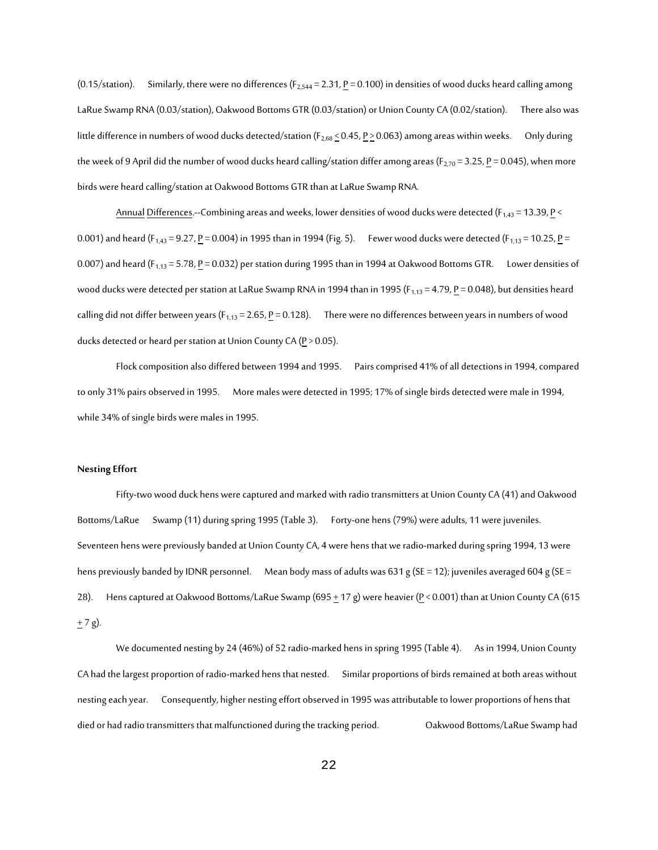(0.15/station). Similarly, there were no differences ( $F_{2,544}$  = 2.31,  $P$  = 0.100) in densities of wood ducks heard calling among LaRue Swamp RNA (0.03/station), Oakwood Bottoms GTR (0.03/station) or Union County CA (0.02/station). There also was little difference in numbers of wood ducks detected/station ( $F_{2,68} \le 0.45$ ,  $P \ge 0.063$ ) among areas within weeks. Only during the week of 9 April did the number of wood ducks heard calling/station differ among areas (F<sub>2,70</sub> = 3.25, <u>P</u> = 0.045), when more birds were heard calling/station at Oakwood Bottoms GTR than at LaRue Swamp RNA.

Annual Differences.--Combining areas and weeks, lower densities of wood ducks were detected ( $F_{1,43}$  = 13.39, P < 0.001) and heard (F<sub>1,43</sub> = 9.27, <u>P</u> = 0.004) in 1995 than in 1994 (Fig. 5). Fewer wood ducks were detected (F<sub>1,13</sub> = 10.25, <u>P</u> = 0.007) and heard ( $F_{1,13}$  = 5.78,  $\underline{P}$  = 0.032) per station during 1995 than in 1994 at Oakwood Bottoms GTR. Lower densities of wood ducks were detected per station at LaRue Swamp RNA in 1994 than in 1995 ( $F_{1,13}$  = 4.79,  $P$  = 0.048), but densities heard calling did not differ between years ( $F_{1,13}$  = 2.65,  $P$  = 0.128). There were no differences between years in numbers of wood ducks detected or heard per station at Union County CA ( $P > 0.05$ ).

Flock composition also differed between 1994 and 1995. Pairs comprised 41% of all detections in 1994, compared to only 31% pairs observed in 1995. More males were detected in 1995; 17% of single birds detected were male in 1994, while 34% of single birds were males in 1995.

#### **Nesting Effort**

Fifty-two wood duck hens were captured and marked with radio transmitters at Union County CA (41) and Oakwood Bottoms/LaRue Swamp (11) during spring 1995 (Table 3). Forty-one hens (79%) were adults, 11 were juveniles. Seventeen hens were previously banded at Union County CA, 4 were hens that we radio-marked during spring 1994, 13 were hens previously banded by IDNR personnel. Mean body mass of adults was 631 g (SE = 12); juveniles averaged 604 g (SE = 28). Hens captured at Oakwood Bottoms/LaRue Swamp (695  $\pm$  17 g) were heavier (P < 0.001) than at Union County CA (615  $+ 7$  g).

We documented nesting by 24 (46%) of 52 radio-marked hens in spring 1995 (Table 4). As in 1994, Union County CA had the largest proportion of radio-marked hens that nested. Similar proportions of birds remained at both areas without nesting each year. Consequently, higher nesting effort observed in 1995 was attributable to lower proportions of hens that died or had radio transmitters that malfunctioned during the tracking period. Oakwood Bottoms/LaRue Swamp had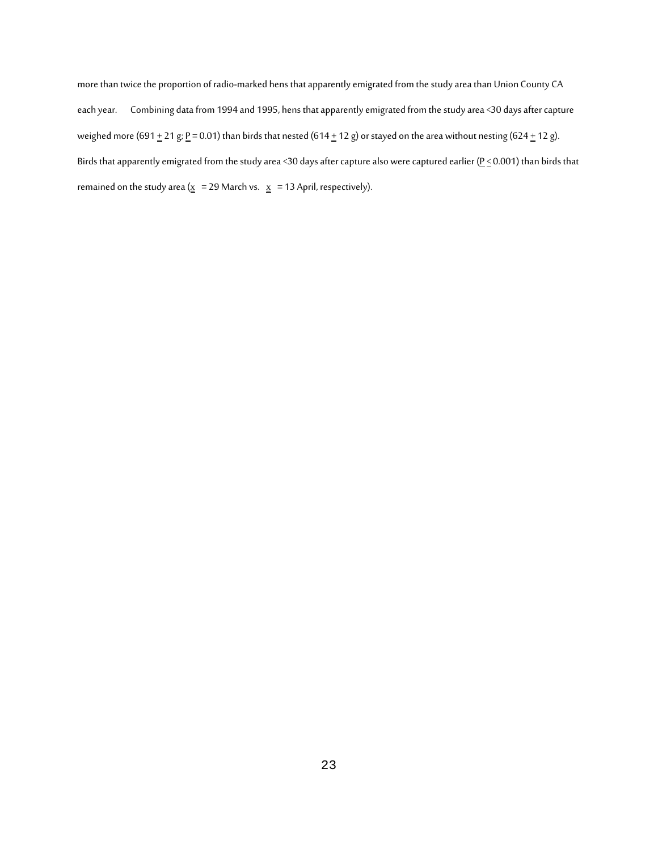more than twice the proportion of radio-marked hens that apparently emigrated from the study area than Union County CA each year. Combining data from 1994 and 1995, hens that apparently emigrated from the study area <30 days after capture weighed more (691  $\pm$  21 g; <u>P</u> = 0.01) than birds that nested (614  $\pm$  12 g) or stayed on the area without nesting (624  $\pm$  12 g). Birds that apparently emigrated from the study area <30 days after capture also were captured earlier ( $P \le 0.001$ ) than birds that remained on the study area ( $\underline{x} = 29$  March vs.  $\underline{x} = 13$  April, respectively).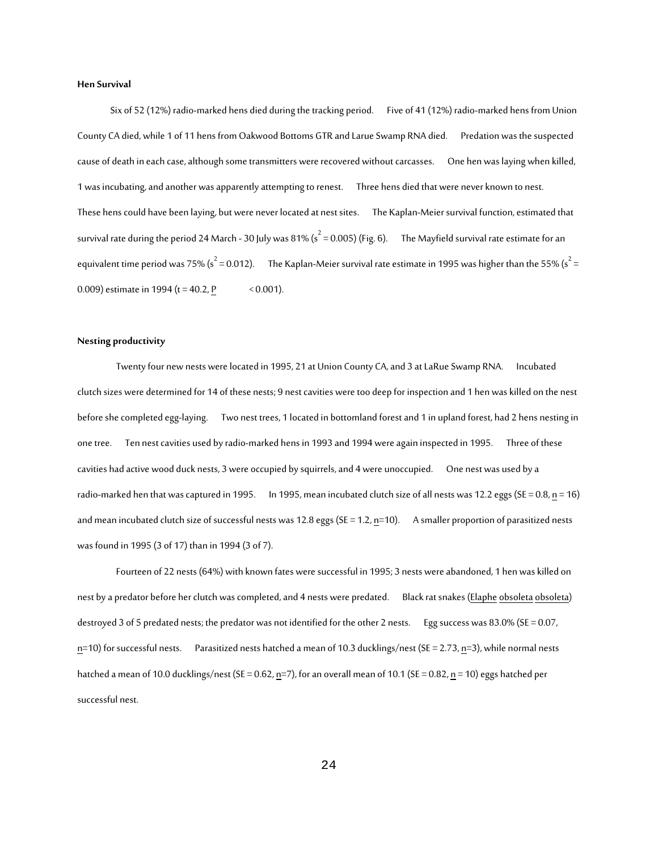#### **Hen Survival**

 Six of 52 (12%) radio-marked hens died during the tracking period. Five of 41 (12%) radio-marked hens from Union County CA died, while 1 of 11 hens from Oakwood Bottoms GTR and Larue Swamp RNA died. Predation was the suspected cause of death in each case, although some transmitters were recovered without carcasses. One hen was laying when killed, 1 was incubating, and another was apparently attempting to renest. Three hens died that were never known to nest. These hens could have been laying, but were never located at nest sites. The Kaplan-Meier survival function, estimated that survival rate during the period 24 March - 30 July was 81% (s $^2$  = 0.005) (Fig. 6).  $^-$  The Mayfield survival rate estimate for an equivalent time period was 75% (s $^2$  = 0.012).  $^-$  The Kaplan-Meier survival rate estimate in 1995 was higher than the 55% (s $^2$  = 0.009) estimate in 1994 (t = 40.2, P  $\sim$  0.001).

#### **Nesting productivity**

Twenty four new nests were located in 1995, 21 at Union County CA, and 3 at LaRue Swamp RNA. Incubated clutch sizes were determined for 14 of these nests; 9 nest cavities were too deep for inspection and 1 hen was killed on the nest before she completed egg-laying. Two nest trees, 1 located in bottomland forest and 1 in upland forest, had 2 hens nesting in one tree. Ten nest cavities used by radio-marked hens in 1993 and 1994 were again inspected in 1995. Three of these cavities had active wood duck nests, 3 were occupied by squirrels, and 4 were unoccupied. One nest was used by a radio-marked hen that was captured in 1995. In 1995, mean incubated clutch size of all nests was 12.2 eggs (SE = 0.8,  $n = 16$ ) and mean incubated clutch size of successful nests was 12.8 eggs (SE = 1.2,  $n=10$ ). A smaller proportion of parasitized nests was found in 1995 (3 of 17) than in 1994 (3 of 7).

Fourteen of 22 nests (64%) with known fates were successful in 1995; 3 nests were abandoned, 1 hen was killed on nest by a predator before her clutch was completed, and 4 nests were predated. Black rat snakes (Elaphe obsoleta obsoleta) destroyed 3 of 5 predated nests; the predator was not identified for the other 2 nests. Egg success was 83.0% (SE = 0.07, n=10) for successful nests. Parasitized nests hatched a mean of 10.3 ducklings/nest (SE = 2.73, n=3), while normal nests hatched a mean of 10.0 ducklings/nest (SE = 0.62, n=7), for an overall mean of 10.1 (SE = 0.82, n = 10) eggs hatched per successful nest.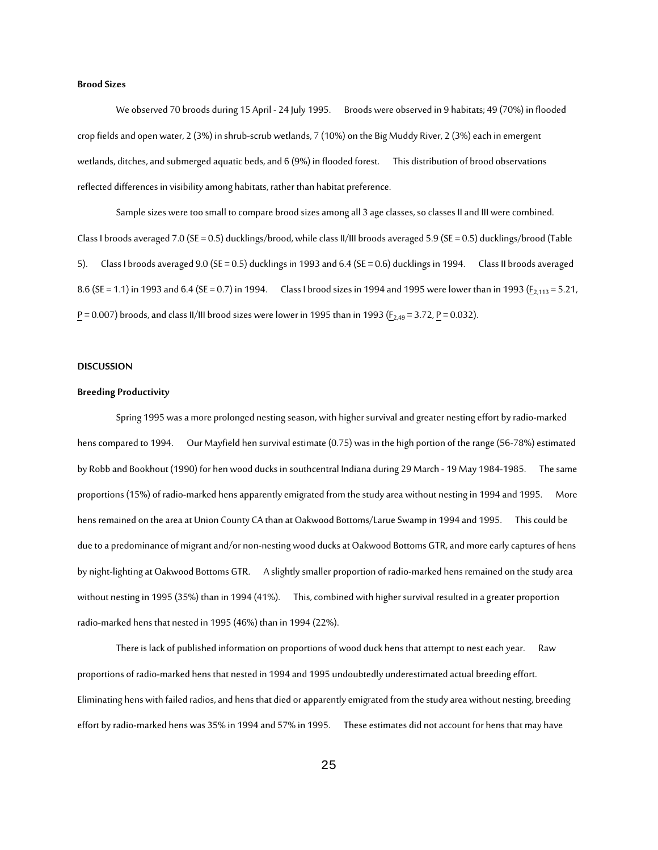#### **Brood Sizes**

We observed 70 broods during 15 April - 24 July 1995. Broods were observed in 9 habitats; 49 (70%) in flooded crop fields and open water, 2 (3%) in shrub-scrub wetlands, 7 (10%) on the Big Muddy River, 2 (3%) each in emergent wetlands, ditches, and submerged aquatic beds, and 6 (9%) in flooded forest. This distribution of brood observations reflected differences in visibility among habitats, rather than habitat preference.

Sample sizes were too small to compare brood sizes among all 3 age classes, so classes II and III were combined. Class I broods averaged 7.0 (SE = 0.5) ducklings/brood, while class II/III broods averaged 5.9 (SE = 0.5) ducklings/brood (Table 5). Class I broods averaged 9.0 (SE = 0.5) ducklings in 1993 and 6.4 (SE = 0.6) ducklings in 1994. Class II broods averaged 8.6 (SE = 1.1) in 1993 and 6.4 (SE = 0.7) in 1994. Class I brood sizes in 1994 and 1995 were lower than in 1993 ( $\underline{F}_{2,113}$  = 5.21,  $\underline{P} = 0.007$ ) broods, and class II/III brood sizes were lower in 1995 than in 1993 ( $\underline{F}_{2,49} = 3.72$ ,  $\underline{P} = 0.032$ ).

#### **DISCUSSION**

#### **Breeding Productivity**

Spring 1995 was a more prolonged nesting season, with higher survival and greater nesting effort by radio-marked hens compared to 1994. Our Mayfield hen survival estimate (0.75) was in the high portion of the range (56-78%) estimated by Robb and Bookhout (1990) for hen wood ducks in southcentral Indiana during 29 March - 19 May 1984-1985. The same proportions (15%) of radio-marked hens apparently emigrated from the study area without nesting in 1994 and 1995. More hens remained on the area at Union County CA than at Oakwood Bottoms/Larue Swamp in 1994 and 1995. This could be due to a predominance of migrant and/or non-nesting wood ducks at Oakwood Bottoms GTR, and more early captures of hens by night-lighting at Oakwood Bottoms GTR. A slightly smaller proportion of radio-marked hens remained on the study area without nesting in 1995 (35%) than in 1994 (41%). This, combined with higher survival resulted in a greater proportion radio-marked hens that nested in 1995 (46%) than in 1994 (22%).

There is lack of published information on proportions of wood duck hens that attempt to nest each year. Raw proportions of radio-marked hens that nested in 1994 and 1995 undoubtedly underestimated actual breeding effort. Eliminating hens with failed radios, and hens that died or apparently emigrated from the study area without nesting, breeding effort by radio-marked hens was 35% in 1994 and 57% in 1995. These estimates did not account for hens that may have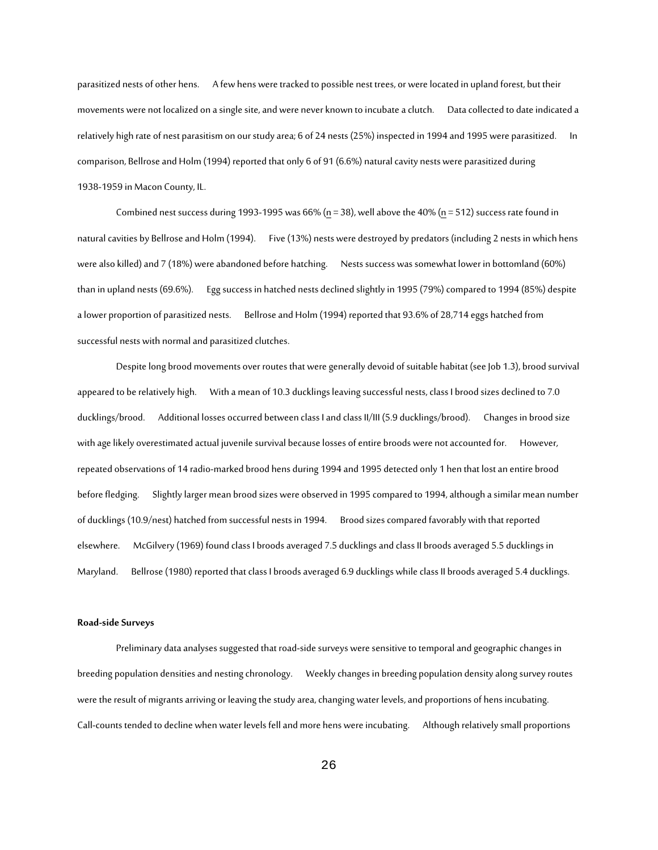parasitized nests of other hens. A few hens were tracked to possible nest trees, or were located in upland forest, but their movements were not localized on a single site, and were never known to incubate a clutch. Data collected to date indicated a relatively high rate of nest parasitism on our study area; 6 of 24 nests (25%) inspected in 1994 and 1995 were parasitized. In comparison, Bellrose and Holm (1994) reported that only 6 of 91 (6.6%) natural cavity nests were parasitized during 1938-1959 in Macon County, IL.

Combined nest success during 1993-1995 was  $66%$  (n = 38), well above the 40% (n = 512) success rate found in natural cavities by Bellrose and Holm (1994). Five (13%) nests were destroyed by predators (including 2 nests in which hens were also killed) and 7 (18%) were abandoned before hatching. Nests success was somewhat lower in bottomland (60%) than in upland nests (69.6%). Egg success in hatched nests declined slightly in 1995 (79%) compared to 1994 (85%) despite a lower proportion of parasitized nests. Bellrose and Holm (1994) reported that 93.6% of 28,714 eggs hatched from successful nests with normal and parasitized clutches.

Despite long brood movements over routes that were generally devoid of suitable habitat (see Job 1.3), brood survival appeared to be relatively high. With a mean of 10.3 ducklings leaving successful nests, class I brood sizes declined to 7.0 ducklings/brood. Additional losses occurred between class I and class II/III (5.9 ducklings/brood). Changes in brood size with age likely overestimated actual juvenile survival because losses of entire broods were not accounted for. However, repeated observations of 14 radio-marked brood hens during 1994 and 1995 detected only 1 hen that lost an entire brood before fledging. Slightly larger mean brood sizes were observed in 1995 compared to 1994, although a similar mean number of ducklings (10.9/nest) hatched from successful nests in 1994. Brood sizes compared favorably with that reported elsewhere. McGilvery (1969) found class I broods averaged 7.5 ducklings and class II broods averaged 5.5 ducklings in Maryland. Bellrose (1980) reported that class I broods averaged 6.9 ducklings while class II broods averaged 5.4 ducklings.

#### **Road-side Surveys**

Preliminary data analyses suggested that road-side surveys were sensitive to temporal and geographic changes in breeding population densities and nesting chronology. Weekly changes in breeding population density along survey routes were the result of migrants arriving or leaving the study area, changing water levels, and proportions of hens incubating. Call-counts tended to decline when water levels fell and more hens were incubating. Although relatively small proportions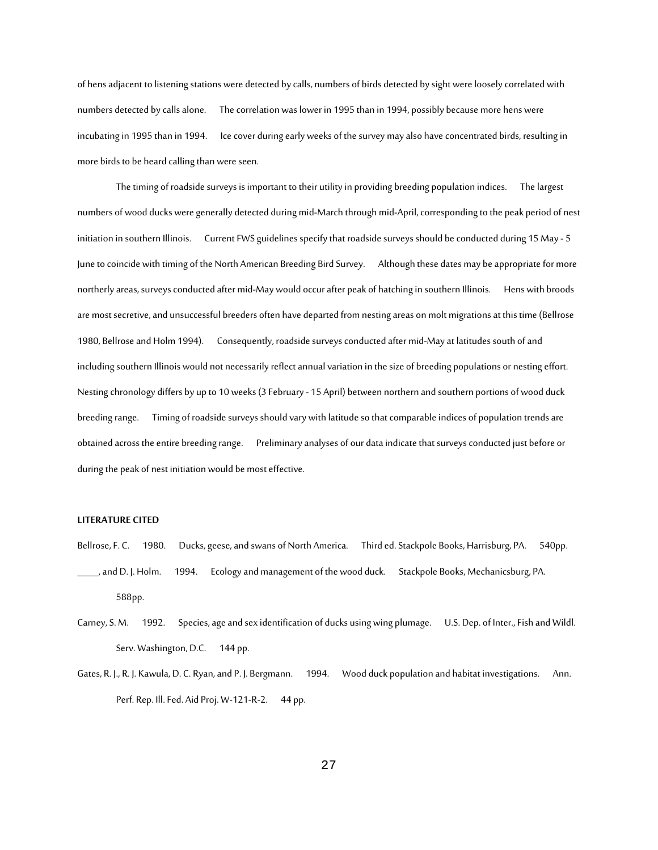of hens adjacent to listening stations were detected by calls, numbers of birds detected by sight were loosely correlated with numbers detected by calls alone. The correlation was lower in 1995 than in 1994, possibly because more hens were incubating in 1995 than in 1994. Ice cover during early weeks of the survey may also have concentrated birds, resulting in more birds to be heard calling than were seen.

The timing of roadside surveys is important to their utility in providing breeding population indices. The largest numbers of wood ducks were generally detected during mid-March through mid-April, corresponding to the peak period of nest initiation in southern Illinois. Current FWS guidelines specify that roadside surveys should be conducted during 15 May - 5 June to coincide with timing of the North American Breeding Bird Survey. Although these dates may be appropriate for more northerly areas, surveys conducted after mid-May would occur after peak of hatching in southern Illinois. Hens with broods are most secretive, and unsuccessful breeders often have departed from nesting areas on molt migrations at this time (Bellrose 1980, Bellrose and Holm 1994). Consequently, roadside surveys conducted after mid-May at latitudes south of and including southern Illinois would not necessarily reflect annual variation in the size of breeding populations or nesting effort. Nesting chronology differs by up to 10 weeks (3 February - 15 April) between northern and southern portions of wood duck breeding range. Timing of roadside surveys should vary with latitude so that comparable indices of population trends are obtained across the entire breeding range. Preliminary analyses of our data indicate that surveys conducted just before or during the peak of nest initiation would be most effective.

#### **LITERATURE CITED**

- Bellrose, F. C. 1980. Ducks, geese, and swans of North America. Third ed. Stackpole Books, Harrisburg, PA. 540pp. \_\_\_\_\_, and D. J. Holm. 1994. Ecology and management of the wood duck. Stackpole Books, Mechanicsburg, PA. 588pp.
- Carney, S. M. 1992. Species, age and sex identification of ducks using wing plumage. U.S. Dep. of Inter., Fish and Wildl. Serv. Washington, D.C. 144 pp.
- Gates, R. J., R. J. Kawula, D. C. Ryan, and P. J. Bergmann. 1994. Wood duck population and habitat investigations. Ann. Perf. Rep. Ill. Fed. Aid Proj. W-121-R-2. 44 pp.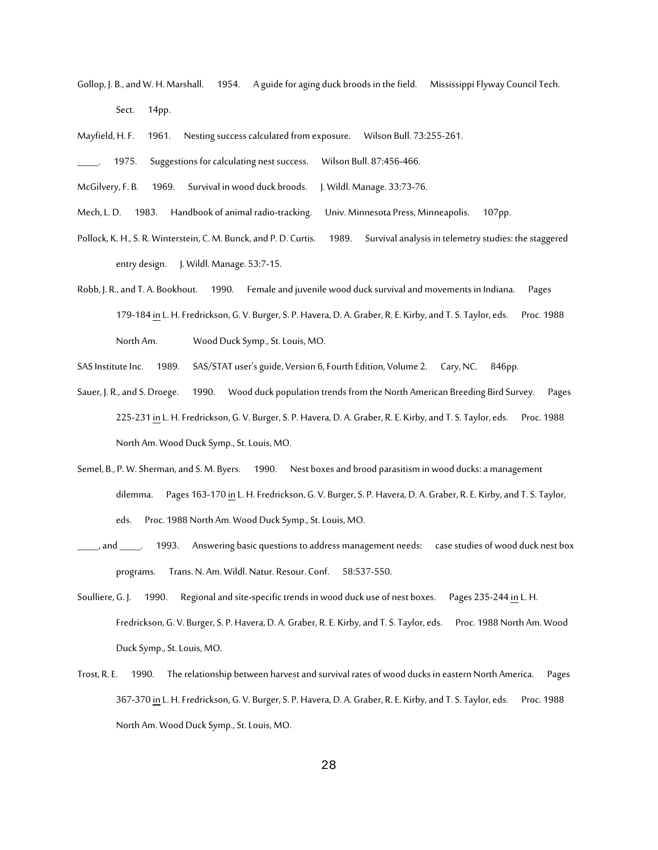Gollop, J. B., and W. H. Marshall. 1954. A guide for aging duck broods in the field. Mississippi Flyway Council Tech. Sect. 14pp.

Mayfield, H. F. 1961. Nesting success calculated from exposure. Wilson Bull. 73:255-261.

1975. Suggestions for calculating nest success. Wilson Bull. 87:456-466.

McGilvery, F. B. 1969. Survival in wood duck broods. J. Wildl. Manage. 33:73-76.

Mech, L. D. 1983. Handbook of animal radio-tracking. Univ. Minnesota Press, Minneapolis. 107pp.

Pollock, K. H., S. R. Winterstein, C. M. Bunck, and P. D. Curtis. 1989. Survival analysis in telemetry studies: the staggered entry design. J. Wildl. Manage. 53:7-15.

- Robb, J. R., and T. A. Bookhout. 1990. Female and juvenile wood duck survival and movements in Indiana. Pages 179-184 in L. H. Fredrickson, G. V. Burger, S. P. Havera, D. A. Graber, R. E. Kirby, and T. S. Taylor, eds. Proc. 1988 North Am. Wood Duck Symp., St. Louis, MO.
- SAS Institute Inc. 1989. SAS/STAT user's guide, Version 6, Fourth Edition, Volume 2. Cary, NC. 846pp.
- Sauer, J. R., and S. Droege. 1990. Wood duck population trends from the North American Breeding Bird Survey. Pages 225-231 in L. H. Fredrickson, G. V. Burger, S. P. Havera, D. A. Graber, R. E. Kirby, and T. S. Taylor, eds. Proc. 1988 North Am. Wood Duck Symp., St. Louis, MO.
- Semel, B., P. W. Sherman, and S. M. Byers. 1990. Nest boxes and brood parasitism in wood ducks: a management dilemma. Pages 163-170 in L. H. Fredrickson, G. V. Burger, S. P. Havera, D. A. Graber, R. E. Kirby, and T. S. Taylor, eds. Proc. 1988 North Am. Wood Duck Symp., St. Louis, MO.
- , and \_\_\_\_\_. 1993. Answering basic questions to address management needs: case studies of wood duck nest box programs. Trans. N. Am. Wildl. Natur. Resour. Conf. 58:537-550.
- Soulliere, G. J. 1990. Regional and site-specific trends in wood duck use of nest boxes. Pages 235-244 in L. H. Fredrickson, G. V. Burger, S. P. Havera, D. A. Graber, R. E. Kirby, and T. S. Taylor, eds. Proc. 1988 North Am. Wood Duck Symp., St. Louis, MO.
- Trost, R. E. 1990. The relationship between harvest and survival rates of wood ducks in eastern North America. Pages 367-370 in L. H. Fredrickson, G. V. Burger, S. P. Havera, D. A. Graber, R. E. Kirby, and T. S. Taylor, eds. Proc. 1988 North Am. Wood Duck Symp., St. Louis, MO.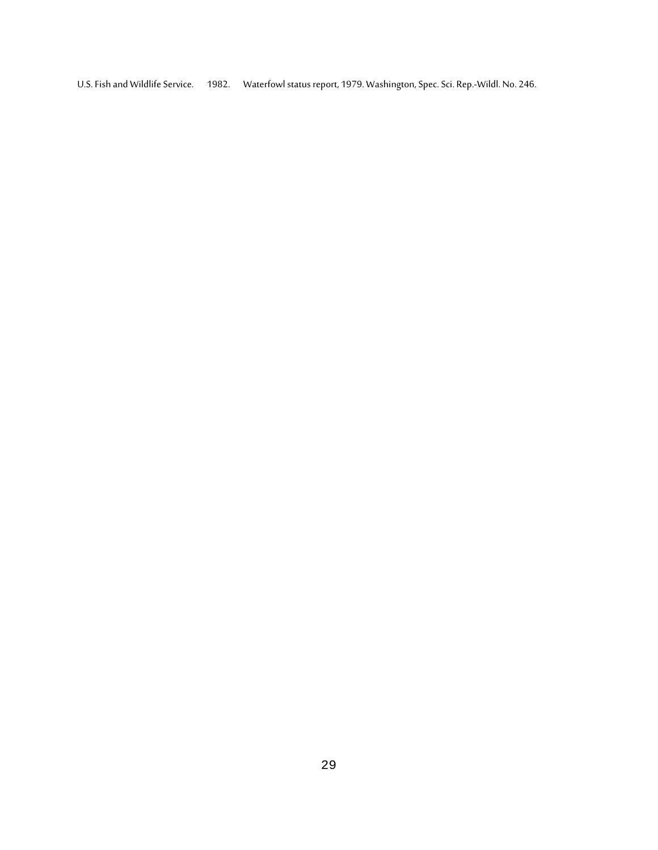U.S. Fish and Wildlife Service. 1982. Waterfowl status report, 1979. Washington, Spec. Sci. Rep.-Wildl. No. 246.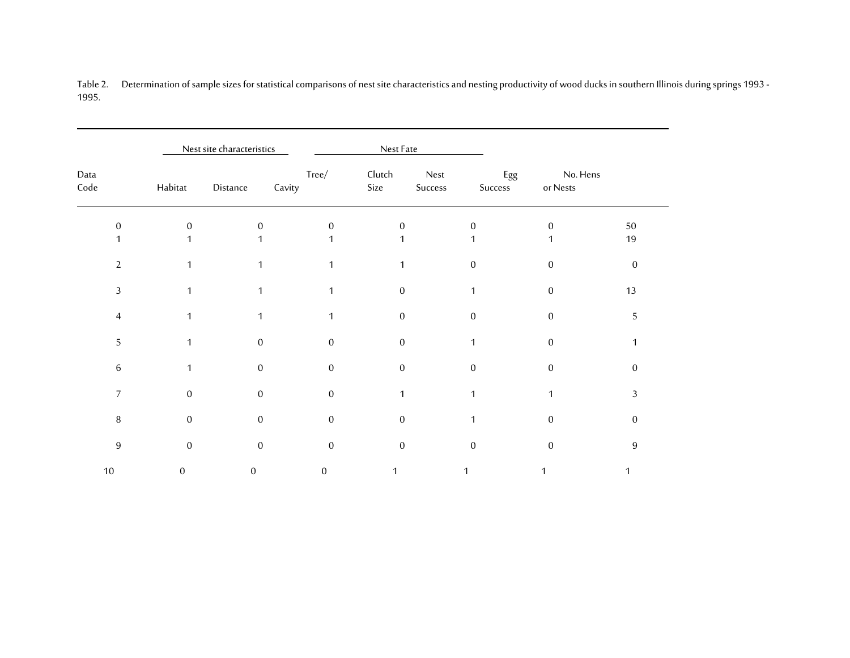Table 2. Determination of sample sizes for statistical comparisons of nest site characteristics and nesting productivity of wood ducks in southern Illinois during springs 1993 - 1995.

|                  |                  | Nest site characteristics |                 | Nest Fate      |                 |                |                      |                |
|------------------|------------------|---------------------------|-----------------|----------------|-----------------|----------------|----------------------|----------------|
| Data<br>Code     | Habitat          | Distance                  | Tree/<br>Cavity | Clutch<br>Size | Nest<br>Success | Egg<br>Success | No. Hens<br>or Nests |                |
| $\Omega$         | $\overline{0}$   | $\mathbf{0}$              | $\Omega$        | $\mathbf{0}$   |                 | $\Omega$       | $\overline{0}$       | $50\,$         |
|                  |                  |                           |                 |                |                 |                |                      | 19             |
| $\overline{2}$   |                  | 1                         | 1               |                |                 | $\mathbf{0}$   | $\mathbf{0}$         | $\mathbf{0}$   |
| 3                |                  | 1                         | 1               | $\mathbf{0}$   |                 | $\mathbf{1}$   | $\boldsymbol{0}$     | 13             |
| $\overline{4}$   | 1                | 1                         |                 | $\mathbf{0}$   |                 | $\mathbf{0}$   | $\mathbf{0}$         | 5              |
| 5                | 1                | $\mathbf{0}$              | $\Omega$        | $\Omega$       |                 |                | $\boldsymbol{0}$     |                |
| $\,6\,$          | 1                | $\mathbf{0}$              | $\Omega$        | $\Omega$       |                 | $\overline{0}$ | $\mathbf{0}$         | 0              |
| $\overline{7}$   | $\mathbf{0}$     | $\overline{0}$            | $\Omega$        | 1              |                 | $\mathbf 1$    | 1                    | 3              |
| $\, 8$           | $\boldsymbol{0}$ | $\mathbf{0}$              | $\mathbf{0}$    | $\mathbf{0}$   |                 | 1              | $\boldsymbol{0}$     | $\overline{0}$ |
| $\boldsymbol{9}$ | $\boldsymbol{0}$ | $\mathbf{0}$              | $\mathbf{0}$    | $\mathbf{0}$   |                 | $\mathbf{0}$   | $\mathbf{0}$         | 9              |
| $10\,$           | $\mathbf{0}$     | 0                         | 0               |                |                 |                |                      |                |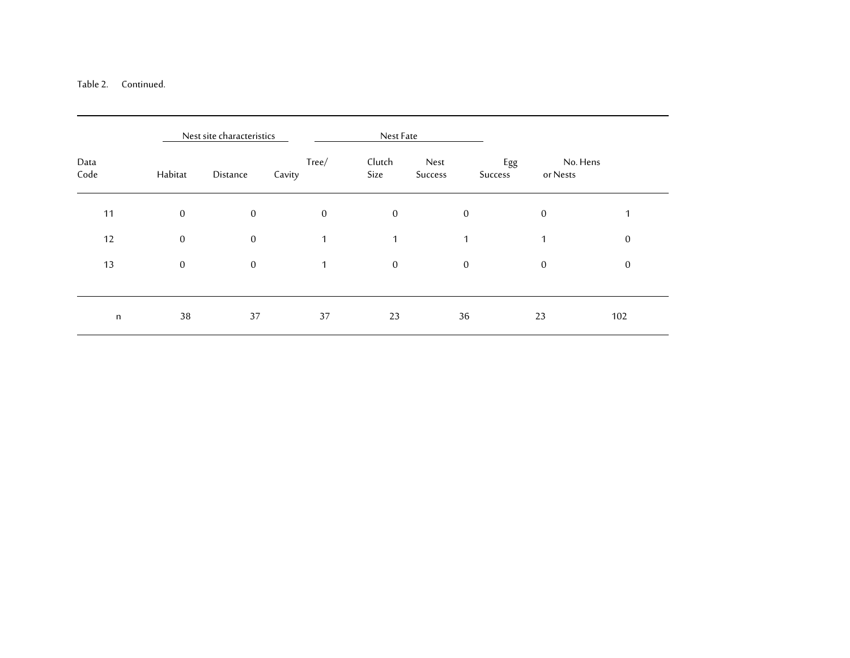## Table 2. Continued.

|              | Nest site characteristics<br>Nest Fate |                  |                 |                  |                  |                            |                  |
|--------------|----------------------------------------|------------------|-----------------|------------------|------------------|----------------------------|------------------|
| Data<br>Code | Habitat                                | Distance         | Tree/<br>Cavity | Clutch<br>Size   | Nest<br>Success  | Egg<br>or Nests<br>Success | No. Hens         |
| 11           | $\overline{0}$                         | $\mathbf{0}$     | $\mathbf{0}$    | $\boldsymbol{0}$ | $\mathbf{0}$     | $\mathbf{0}$               | 1                |
| 12           | $\overline{0}$                         | $\boldsymbol{0}$ | $\mathbf{1}$    | $\mathbf{1}$     | 1                | $\mathbf{1}$               | $\mathbf{0}$     |
| 13           | $\boldsymbol{0}$                       | $\boldsymbol{0}$ | $\mathbf{1}$    | $\boldsymbol{0}$ | $\boldsymbol{0}$ | $\mathbf{0}$               | $\boldsymbol{0}$ |
| $\mathsf{n}$ | 38                                     | 37               | 37              | 23               | 36               | 23                         | 102              |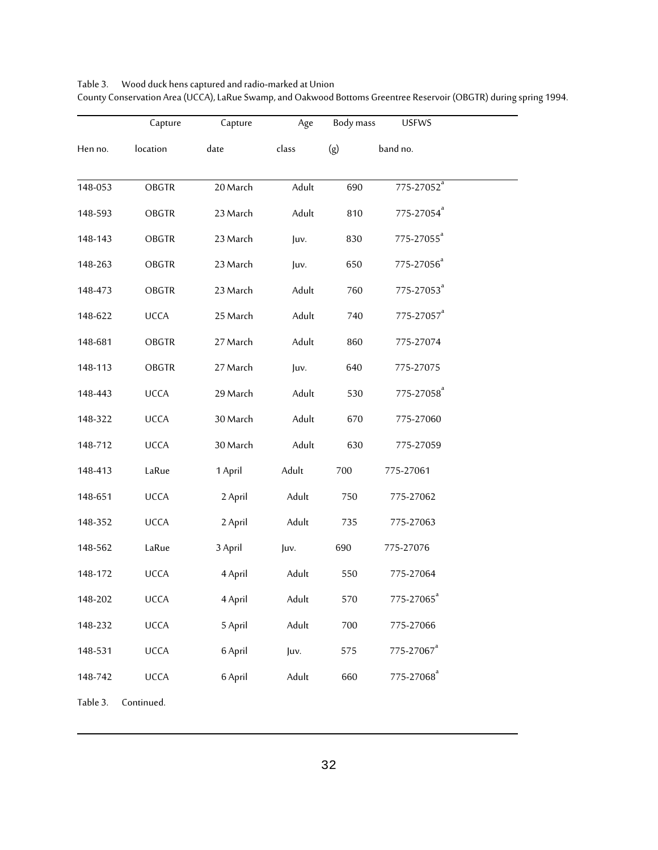|          | Capture      | Capture  | Age   | Body mass | <b>USFWS</b>           |  |
|----------|--------------|----------|-------|-----------|------------------------|--|
| Hen no.  | location     | date     | class | (g)       | band no.               |  |
| 148-053  | <b>OBGTR</b> | 20 March | Adult | 690       | 775-27052 <sup>ª</sup> |  |
| 148-593  | <b>OBGTR</b> | 23 March | Adult | 810       | 775-27054 <sup>ª</sup> |  |
| 148-143  | <b>OBGTR</b> | 23 March | Juv.  | 830       | 775-27055 <sup>a</sup> |  |
| 148-263  | <b>OBGTR</b> | 23 March | Juv.  | 650       | 775-27056 <sup>ª</sup> |  |
| 148-473  | <b>OBGTR</b> | 23 March | Adult | 760       | 775-27053 <sup>ª</sup> |  |
| 148-622  | <b>UCCA</b>  | 25 March | Adult | 740       | 775-27057 <sup>a</sup> |  |
| 148-681  | <b>OBGTR</b> | 27 March | Adult | 860       | 775-27074              |  |
| 148-113  | <b>OBGTR</b> | 27 March | Juv.  | 640       | 775-27075              |  |
| 148-443  | <b>UCCA</b>  | 29 March | Adult | 530       | 775-27058 <sup>ª</sup> |  |
| 148-322  | <b>UCCA</b>  | 30 March | Adult | 670       | 775-27060              |  |
| 148-712  | <b>UCCA</b>  | 30 March | Adult | 630       | 775-27059              |  |
| 148-413  | LaRue        | 1 April  | Adult | 700       | 775-27061              |  |
| 148-651  | <b>UCCA</b>  | 2 April  | Adult | 750       | 775-27062              |  |
| 148-352  | <b>UCCA</b>  | 2 April  | Adult | 735       | 775-27063              |  |
| 148-562  | LaRue        | 3 April  | Juv.  | 690       | 775-27076              |  |
| 148-172  | <b>UCCA</b>  | 4 April  | Adult | 550       | 775-27064              |  |
| 148-202  | <b>UCCA</b>  | 4 April  | Adult | 570       | 775-27065 <sup>a</sup> |  |
| 148-232  | UCCA         | 5 April  | Adult | 700       | 775-27066              |  |
| 148-531  | UCCA         | 6 April  | Juv.  | 575       | 775-27067 <sup>ª</sup> |  |
| 148-742  | <b>UCCA</b>  | 6 April  | Adult | 660       | 775-27068 <sup>ª</sup> |  |
| Table 3. | Continued.   |          |       |           |                        |  |

Table 3. Wood duck hens captured and radio-marked at Union County Conservation Area (UCCA), LaRue Swamp, and Oakwood Bottoms Greentree Reservoir (OBGTR) during spring 1994.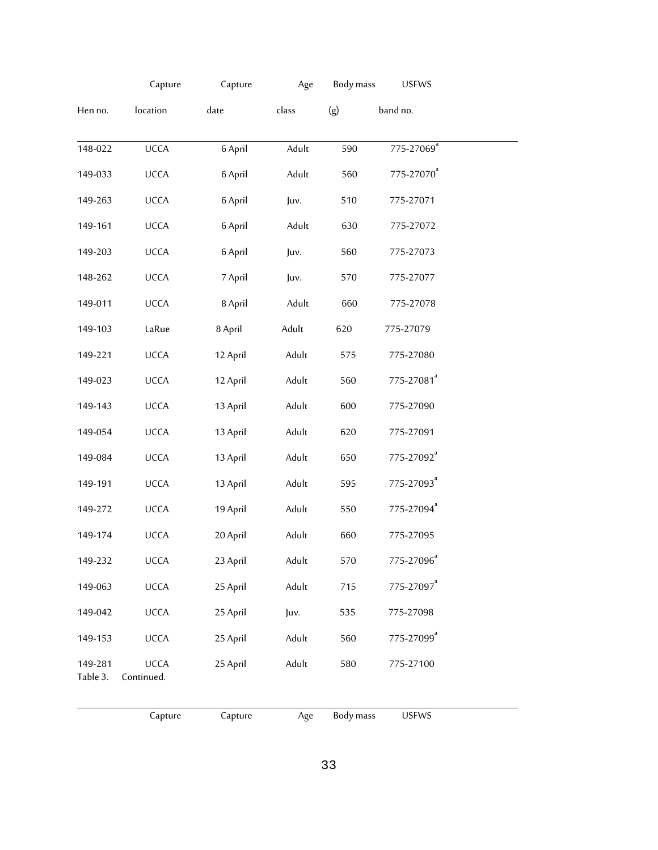|                     | Capture                   | Capture  | Age   | Body mass | <b>USFWS</b>               |  |
|---------------------|---------------------------|----------|-------|-----------|----------------------------|--|
| Hen no.             | location                  | date     | class | (g)       | band no.                   |  |
| 148-022             | <b>UCCA</b>               | 6 April  | Adult | 590       | $775 - 27069$ <sup>a</sup> |  |
| 149-033             | UCCA                      | 6 April  | Adult | 560       | 775-27070 <sup>a</sup>     |  |
| 149-263             | <b>UCCA</b>               | 6 April  | Juv.  | 510       | 775-27071                  |  |
| 149-161             | UCCA                      | 6 April  | Adult | 630       | 775-27072                  |  |
| 149-203             | UCCA                      | 6 April  | Juv.  | 560       | 775-27073                  |  |
| 148-262             | UCCA                      | 7 April  | Juv.  | 570       | 775-27077                  |  |
| 149-011             | UCCA                      | 8 April  | Adult | 660       | 775-27078                  |  |
| 149-103             | LaRue                     | 8 April  | Adult | 620       | 775-27079                  |  |
| 149-221             | UCCA                      | 12 April | Adult | 575       | 775-27080                  |  |
| 149-023             | UCCA                      | 12 April | Adult | 560       | 775-27081 <sup>ª</sup>     |  |
| 149-143             | UCCA                      | 13 April | Adult | 600       | 775-27090                  |  |
| 149-054             | UCCA                      | 13 April | Adult | 620       | 775-27091                  |  |
| 149-084             | UCCA                      | 13 April | Adult | 650       | 775-27092 <sup>ª</sup>     |  |
| 149-191             | UCCA                      | 13 April | Adult | 595       | 775-27093 <sup>ª</sup>     |  |
| 149-272             | UCCA                      | 19 April | Adult | 550       | 775-27094 <sup>ª</sup>     |  |
| 149-174             | <b>UCCA</b>               | 20 April | Adult | 660       | 775-27095                  |  |
| 149-232             | <b>UCCA</b>               | 23 April | Adult | 570       | 775-27096 <sup>ª</sup>     |  |
| 149-063             | <b>UCCA</b>               | 25 April | Adult | 715       | 775-27097 <sup>a</sup>     |  |
| 149-042             | UCCA                      | 25 April | Juv.  | 535       | 775-27098                  |  |
| 149-153             | UCCA                      | 25 April | Adult | 560       | 775-27099 <sup>a</sup>     |  |
| 149-281<br>Table 3. | <b>UCCA</b><br>Continued. | 25 April | Adult | 580       | 775-27100                  |  |

Capture Capture Age Body mass USFWS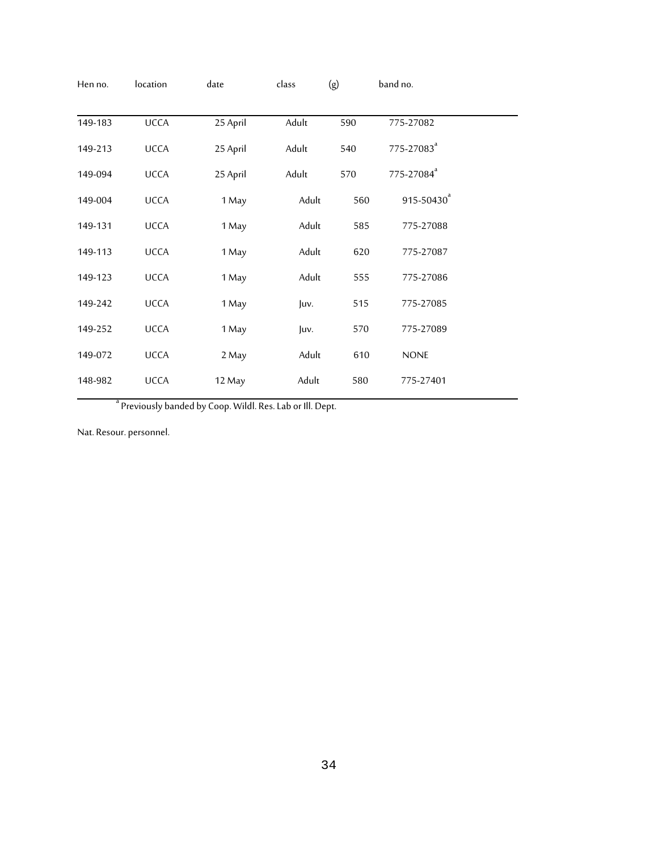| Hen no. | location    | date                                                         | class | (g) | band no.               |  |
|---------|-------------|--------------------------------------------------------------|-------|-----|------------------------|--|
| 149-183 | <b>UCCA</b> | 25 April                                                     | Adult | 590 | 775-27082              |  |
| 149-213 | <b>UCCA</b> | 25 April                                                     | Adult | 540 | 775-27083 <sup>ª</sup> |  |
| 149-094 | <b>UCCA</b> | 25 April                                                     | Adult | 570 | 775-27084 <sup>ª</sup> |  |
| 149-004 | <b>UCCA</b> | 1 May                                                        | Adult | 560 | 915-50430 <sup>ª</sup> |  |
| 149-131 | <b>UCCA</b> | 1 May                                                        | Adult | 585 | 775-27088              |  |
| 149-113 | <b>UCCA</b> | 1 May                                                        | Adult | 620 | 775-27087              |  |
| 149-123 | <b>UCCA</b> | 1 May                                                        | Adult | 555 | 775-27086              |  |
| 149-242 | <b>UCCA</b> | 1 May                                                        | Juv.  | 515 | 775-27085              |  |
| 149-252 | <b>UCCA</b> | 1 May                                                        | Juv.  | 570 | 775-27089              |  |
| 149-072 | <b>UCCA</b> | 2 May                                                        | Adult | 610 | <b>NONE</b>            |  |
| 148-982 | <b>UCCA</b> | 12 May                                                       | Adult | 580 | 775-27401              |  |
|         |             | <sup>a</sup> Droviously handed by Coop Wild Dee Lab out Dont |       |     |                        |  |

<sup>a</sup> Previously banded by Coop. Wildl. Res. Lab or Ill. Dept.

Nat. Resour. personnel.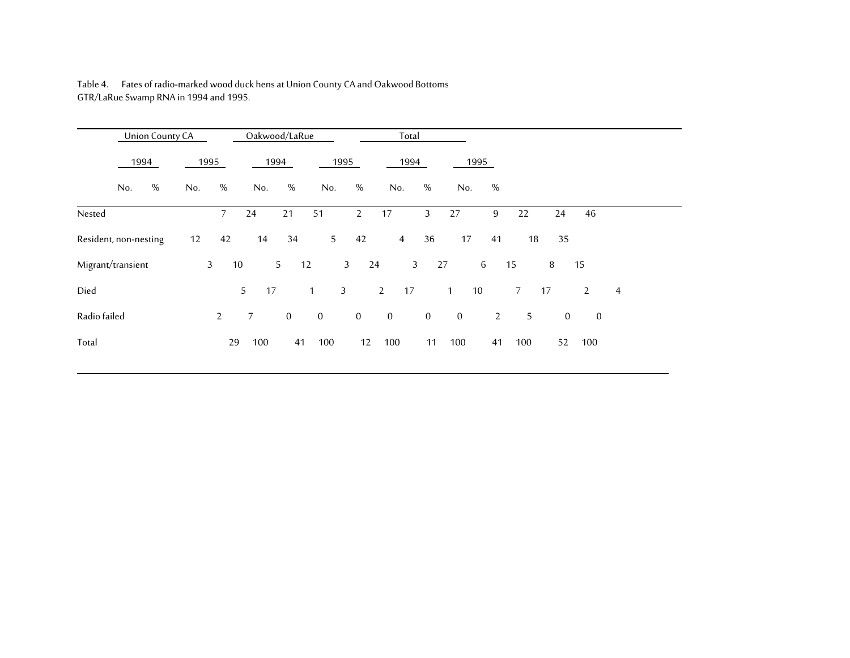|                       | <b>Union County CA</b> |              |                | Oakwood/LaRue   |              |                                |                | Total              |              |                       |                        |                     |                |                |
|-----------------------|------------------------|--------------|----------------|-----------------|--------------|--------------------------------|----------------|--------------------|--------------|-----------------------|------------------------|---------------------|----------------|----------------|
| 1994                  |                        | 1995         |                | 1994            |              | 1995                           |                | 1994               |              | 1995                  |                        |                     |                |                |
| No.                   | %                      | No.          | %              | No.             | $\%$         | No.                            | %              | No.                | %            | No.                   | %                      |                     |                |                |
| Nested                |                        |              | 7 <sup>7</sup> | 24              | 21           | 51                             | $\mathbf{2}$   | 17                 | 3            | 27                    | $\boldsymbol{9}$<br>22 | 24                  | 46             |                |
| Resident, non-nesting |                        | 12           | 42             | 14              | 34           | 5 <sup>5</sup>                 | 42             | $\overline{4}$     | 36           | 17                    | 41                     | 18<br>35            |                |                |
| Migrant/transient     |                        | $\mathbf{3}$ | 10             |                 | 5<br>12      |                                | 3 <sup>7</sup> | $\mathbf{3}$<br>24 |              | $6\overline{6}$<br>27 | 15                     | 8                   | 15             |                |
| Died                  |                        |              |                | 5<br>17         |              | $\overline{3}$<br>$\mathbf{1}$ |                | $2^{\circ}$<br>17  |              | 10<br>1               | 7 <sup>7</sup>         | 17                  | $\overline{2}$ | $\overline{4}$ |
| Radio failed          |                        |              | $\mathbf{2}$   | $7\overline{ }$ | $\mathbf{0}$ | $\overline{0}$                 | $\mathbf{0}$   | $\overline{0}$     | $\mathbf{0}$ | $\overline{0}$        | $\overline{2}$         | 5<br>$\overline{0}$ | $\mathbf{0}$   |                |
| Total                 |                        |              | 29             | 100             | 41           | 100                            | 12             | 100                | 11           | 100                   | 100<br>41              | 52                  | 100            |                |

Table 4. Fates of radio-marked wood duck hens at Union County CA and Oakwood Bottoms GTR/LaRue Swamp RNA in 1994 and 1995.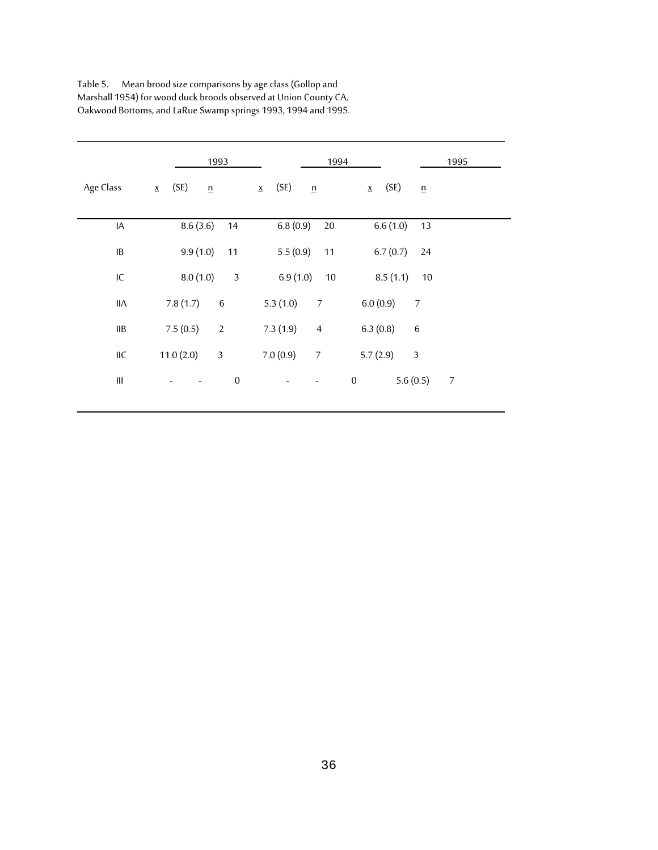|            | 1993                         | 1994                                                    | 1995            |
|------------|------------------------------|---------------------------------------------------------|-----------------|
| Age Class  | (SE)<br>$\underline{x}$<br>n | (SE)<br>(SE)<br>$\underline{x}$<br>n<br>$\underline{x}$ | $\underline{n}$ |
|            |                              |                                                         |                 |
| IA         | 8.6(3.6)<br>14               | 6.8(0.9)<br>6.6(1.0)<br>$20\,$                          | 13              |
| IB         | 9.9(1.0)<br>11               | 5.5(0.9)<br>6.7(0.7)<br>11                              | 24              |
| IC         | 8.0(1.0)<br>$\mathfrak{Z}$   | 6.9(1.0)<br>8.5(1.1)<br>10                              | 10              |
| <b>IIA</b> | 7.8(1.7)<br>$\,6\,$          | 6.0(0.9)<br>5.3(1.0)<br>$\overline{7}$                  | $\overline{7}$  |
| IІB        | 7.5(0.5)<br>$\sqrt{2}$       | 7.3(1.9)<br>6.3(0.8)<br>$\overline{4}$                  | $\,6\,$         |
| IIC        | 11.0(2.0)<br>$\overline{3}$  | 7.0(0.9)<br>5.7(2.9)<br>$\boldsymbol{7}$                | $\mathfrak{Z}$  |
| Ш          | $\boldsymbol{0}$             | $\boldsymbol{0}$                                        | 5.6(0.5)<br>7   |

| Table 5. | Mean brood size comparisons by age class (Gollop and             |
|----------|------------------------------------------------------------------|
|          | Marshall 1954) for wood duck broods observed at Union County CA, |
|          | Oakwood Bottoms, and LaRue Swamp springs 1993, 1994 and 1995.    |

 $\overline{a}$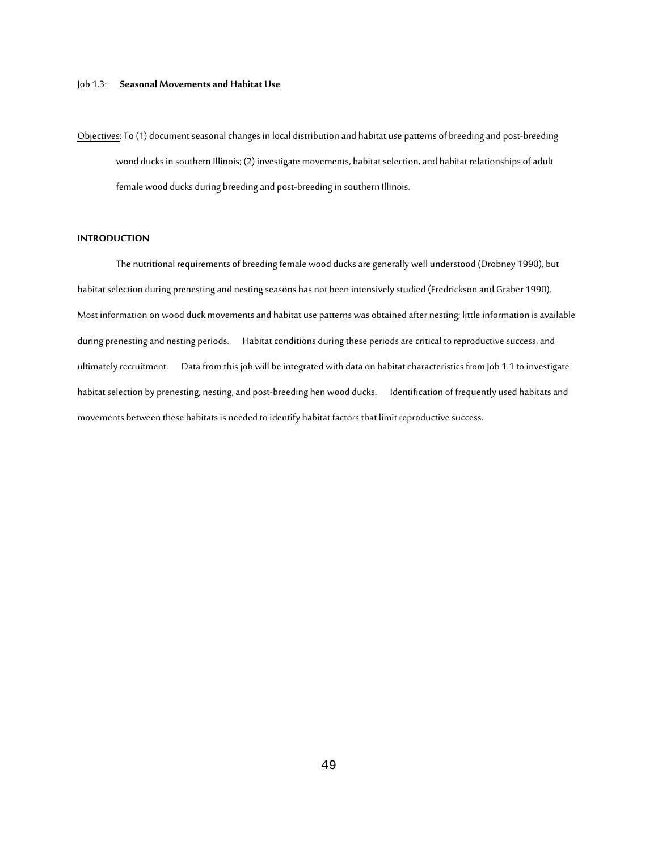#### Job 1.3: **Seasonal Movements and Habitat Use**

Objectives: To (1) document seasonal changes in local distribution and habitat use patterns of breeding and post-breeding wood ducks in southern Illinois; (2) investigate movements, habitat selection, and habitat relationships of adult female wood ducks during breeding and post-breeding in southern Illinois.

#### **INTRODUCTION**

The nutritional requirements of breeding female wood ducks are generally well understood (Drobney 1990), but habitat selection during prenesting and nesting seasons has not been intensively studied (Fredrickson and Graber 1990). Most information on wood duck movements and habitat use patterns was obtained after nesting; little information is available during prenesting and nesting periods. Habitat conditions during these periods are critical to reproductive success, and ultimately recruitment. Data from this job will be integrated with data on habitat characteristics from Job 1.1 to investigate habitat selection by prenesting, nesting, and post-breeding hen wood ducks. Identification of frequently used habitats and movements between these habitats is needed to identify habitat factors that limit reproductive success.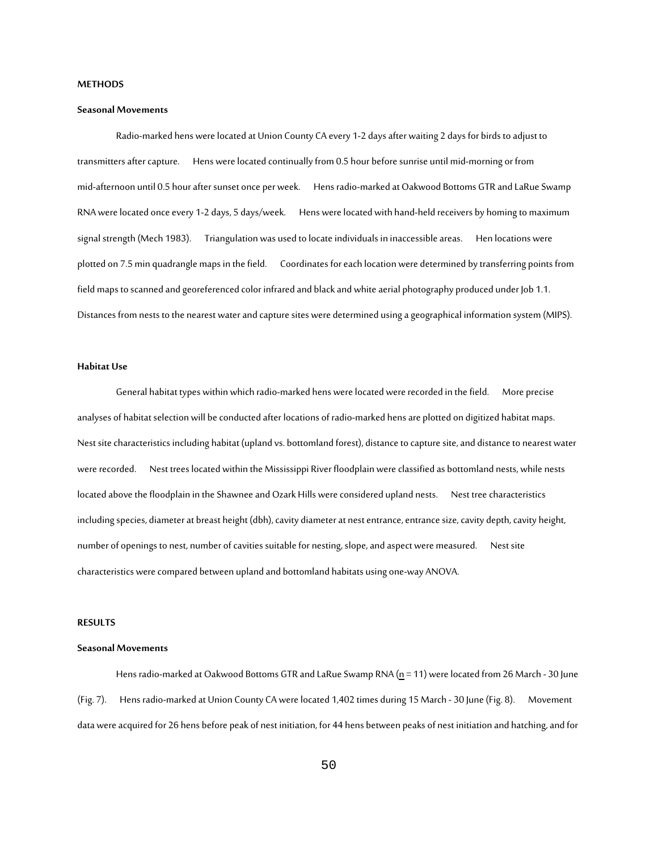#### **METHODS**

#### **Seasonal Movements**

Radio-marked hens were located at Union County CA every 1-2 days after waiting 2 days for birds to adjust to transmitters after capture. Hens werelocated continually from 0.5 hour before sunrise until mid-morning or from mid-afternoon until 0.5 hour after sunset once per week. Hens radio-marked at Oakwood Bottoms GTR and LaRue Swamp RNA were located once every 1-2 days, 5 days/week. Hens were located with hand-held receivers by homing to maximum signal strength (Mech 1983). Triangulation was used to locate individuals in inaccessible areas. Hen locations were plotted on 7.5 min quadrangle maps in the field. Coordinates for each location were determined by transferring points from field maps to scanned and georeferenced color infrared and black and white aerial photography produced under Job 1.1. Distances from nests to the nearest water and capture sites were determined using a geographical information system (MIPS).

### **Habitat Use**

General habitat types within which radio-marked hens were located were recorded in the field. More precise analyses of habitat selection will be conducted after locations of radio-marked hens are plotted on digitized habitat maps. Nest site characteristics including habitat (upland vs. bottomland forest), distance to capture site, and distance to nearest water were recorded. Nest trees located within the Mississippi River floodplain were classified as bottomland nests, while nests located above the floodplain in the Shawnee and Ozark Hills were considered upland nests. Nest tree characteristics including species, diameter at breast height (dbh), cavity diameter at nest entrance, entrance size, cavity depth, cavity height, number of openings to nest, number of cavities suitable for nesting, slope, and aspect were measured. Nest site characteristics were compared between upland and bottomland habitats using one-way ANOVA.

#### **RESULTS**

#### **Seasonal Movements**

Hens radio-marked at Oakwood Bottoms GTR and LaRue Swamp RNA (n = 11) were located from 26 March - 30 June (Fig. 7). Hens radio-marked at Union County CA were located 1,402 times during 15 March - 30 June (Fig. 8). Movement data were acquired for 26 hens before peak of nest initiation, for 44 hens between peaks of nest initiation and hatching, and for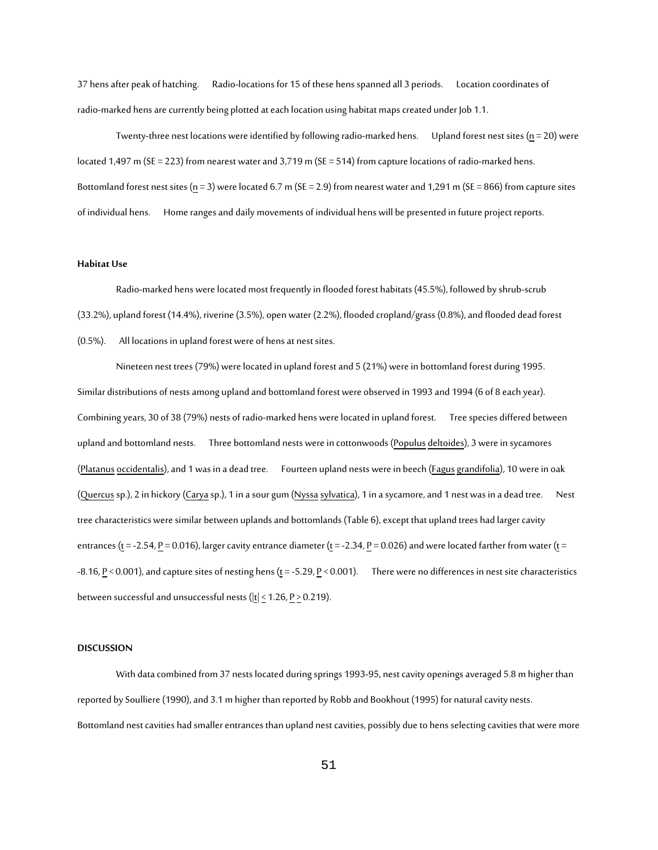37 hens after peak of hatching. Radio-locations for 15 of these hens spanned all 3 periods. Location coordinates of radio-marked hens are currently being plotted at each location using habitat maps created under Job 1.1.

Twenty-three nest locations were identified by following radio-marked hens. Upland forest nest sites ( $n = 20$ ) were located 1,497 m (SE = 223) from nearest water and 3,719 m (SE = 514) from capture locations of radio-marked hens. Bottomland forest nest sites (n = 3) were located 6.7 m (SE = 2.9) from nearest water and 1,291 m (SE = 866) from capture sites of individual hens. Home ranges and daily movements of individual hens will be presented in future project reports.

#### **Habitat Use**

Radio-marked hens were located most frequently in flooded forest habitats (45.5%), followed by shrub-scrub (33.2%), upland forest (14.4%), riverine (3.5%), open water (2.2%), flooded cropland/grass (0.8%), and flooded dead forest (0.5%). All locations in upland forest were of hens at nest sites.

Nineteen nest trees (79%) were located in upland forest and 5 (21%) were in bottomland forest during 1995. Similar distributions of nests among upland and bottomland forest were observed in 1993 and 1994 (6 of 8 each year). Combining years, 30 of 38 (79%) nests of radio-marked hens were located in upland forest. Tree species differed between upland and bottomland nests. Three bottomland nests were in cottonwoods (Populus deltoides), 3 were in sycamores (Platanus occidentalis), and 1 was in a dead tree. Fourteen upland nests were in beech (Fagusgrandifolia), 10 were in oak (Quercus sp.), 2 in hickory (Carya sp.), 1 in a sour gum (Nyssa sylvatica), 1 in a sycamore, and 1 nest was in a dead tree. Nest tree characteristics were similar between uplands and bottomlands (Table 6), except that upland trees had larger cavity entrances (t = -2.54, P = 0.016), larger cavity entrance diameter (t = -2.34, P = 0.026) and were located farther from water (t = -8.16, P < 0.001), and capture sites of nesting hens (t = -5.29, P < 0.001). There were no differences in nest site characteristics between successful and unsuccessful nests (|t| < 1.26, P > 0.219).

#### **DISCUSSION**

With data combined from 37 nests located during springs 1993-95, nest cavity openings averaged 5.8 m higher than reported by Soulliere (1990), and 3.1 m higher than reported by Robb and Bookhout (1995) for natural cavity nests. Bottomland nest cavities had smaller entrances than upland nest cavities, possibly due to hens selecting cavities that were more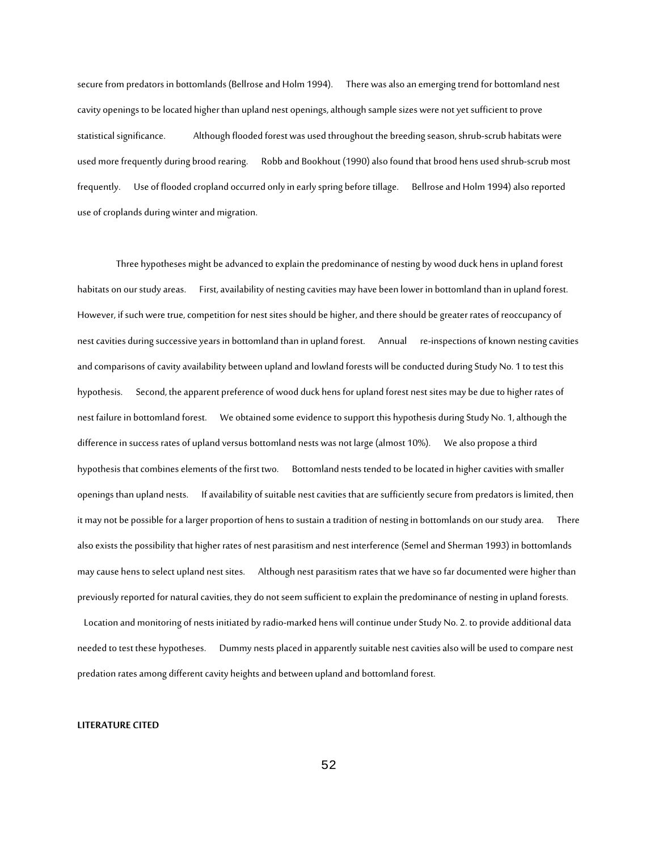secure from predators in bottomlands (Bellrose and Holm 1994). There was also an emerging trend for bottomland nest cavity openings to be located higher than upland nest openings, although sample sizes were not yet sufficient to prove statistical significance. Although flooded forest was used throughout the breeding season, shrub-scrub habitats were used more frequently during brood rearing. Robb and Bookhout (1990) also found that brood hens used shrub-scrub most frequently. Use of flooded cropland occurred only in early spring before tillage. Bellrose and Holm 1994) also reported use of croplands during winter and migration.

Three hypotheses might be advanced to explain the predominance of nesting by wood duck hens in upland forest habitats on our study areas. First, availability of nesting cavities may have been lower in bottomland than in upland forest. However, if such were true, competition for nest sites should be higher, and there should be greater rates of reoccupancy of nest cavities during successive years in bottomland than in upland forest. Annual re-inspections of known nesting cavities and comparisons of cavity availability between upland and lowland forests will be conducted during Study No. 1 to test this hypothesis. Second, the apparent preference of wood duck hens for upland forest nest sites may be due to higher rates of nest failure in bottomland forest. We obtained some evidence to support this hypothesis during Study No. 1, although the difference in success rates of upland versus bottomland nests was not large (almost 10%). We also propose a third hypothesis that combines elements of the first two. Bottomland nests tended to be located in higher cavities with smaller openings than upland nests. If availability of suitable nest cavities that are sufficiently secure from predators is limited, then it may not be possible for a larger proportion of hens to sustain a tradition of nesting in bottomlands on our study area. There also exists the possibility that higher rates of nest parasitism and nest interference (Semel and Sherman 1993) in bottomlands may cause hens to select upland nest sites. Although nest parasitism rates that we have so far documented were higher than previously reported for natural cavities, they do not seem sufficient to explain the predominance of nesting in upland forests.

Location and monitoring of nests initiated by radio-marked hens will continue under Study No. 2. to provide additional data needed to test these hypotheses. Dummy nests placed in apparently suitable nest cavities also will be used to compare nest predation rates among different cavity heights and between upland and bottomland forest.

#### **LITERATURE CITED**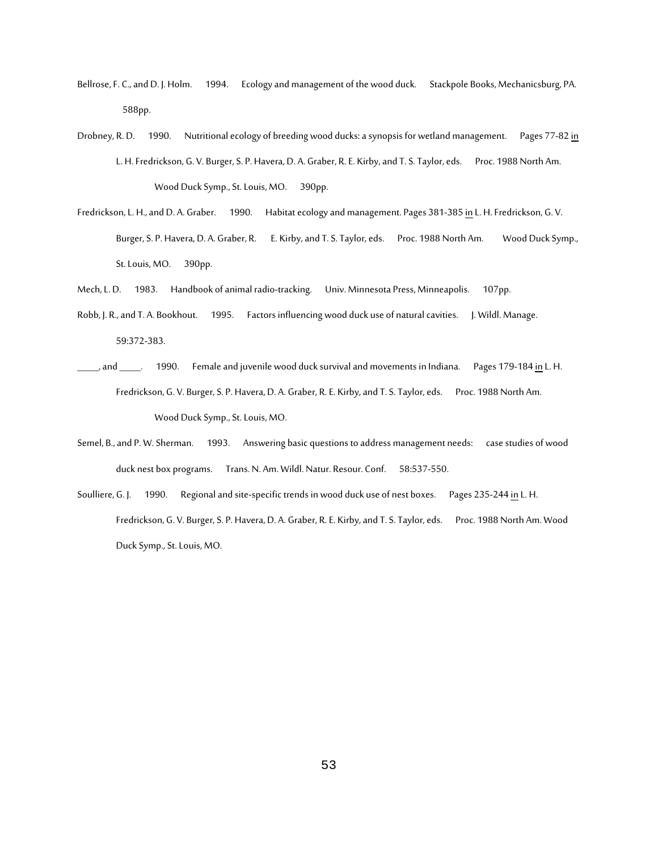- Bellrose, F. C., and D. J. Holm. 1994. Ecology and management of the wood duck. Stackpole Books, Mechanicsburg, PA. 588pp.
- Drobney, R. D. 1990. Nutritional ecology of breeding wood ducks: a synopsis for wetland management. Pages 77-82 in L. H. Fredrickson, G. V. Burger, S. P. Havera, D. A. Graber, R. E. Kirby, and T. S. Taylor, eds. Proc. 1988 North Am. Wood Duck Symp., St. Louis, MO. 390pp.
- Fredrickson, L. H., and D. A. Graber. 1990. Habitat ecology and management. Pages 381-385 in L. H. Fredrickson, G. V. Burger, S. P. Havera, D. A. Graber, R. E. Kirby, and T. S. Taylor, eds. Proc. 1988 North Am. Wood Duck Symp., St. Louis, MO. 390pp.
- Mech, L. D. 1983. Handbook of animal radio-tracking. Univ. Minnesota Press, Minneapolis. 107pp.
- Robb, J. R., and T. A. Bookhout. 1995. Factors influencing wood duck use of natural cavities. J. Wildl. Manage. 59:372-383.
- and \_\_\_\_\_. 1990. Female and juvenile wood duck survival and movements in Indiana. Pages 179-184 in L. H. Fredrickson, G. V. Burger, S. P. Havera, D. A. Graber, R. E. Kirby, and T. S. Taylor, eds. Proc. 1988 North Am. Wood Duck Symp., St. Louis, MO.
- Semel, B., and P. W. Sherman. 1993. Answering basic questions to address management needs: case studies of wood duck nest box programs. Trans. N. Am. Wildl. Natur. Resour. Conf. 58:537-550.
- Soulliere, G. J. 1990. Regional and site-specific trends in wood duck use of nest boxes. Pages 235-244 in L. H. Fredrickson, G. V. Burger, S. P. Havera, D. A. Graber, R. E. Kirby, and T. S. Taylor, eds. Proc. 1988 North Am. Wood Duck Symp., St. Louis, MO.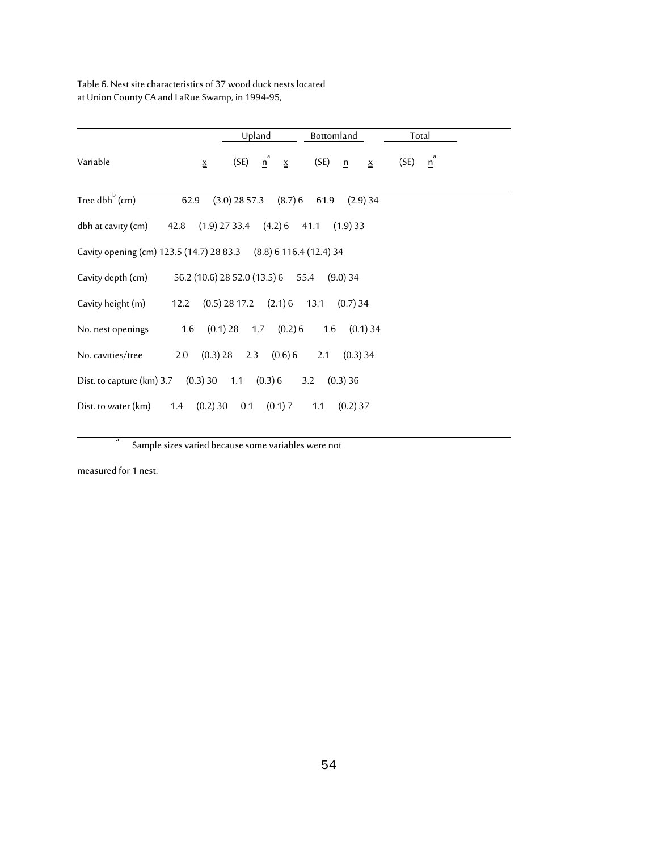Table 6. Nest site characteristics of 37 wood duck nests located at Union County CA and LaRue Swamp, in 1994-95,

|                                                                  |                 | Upland                                     | Bottomland                                     | Total                  |  |
|------------------------------------------------------------------|-----------------|--------------------------------------------|------------------------------------------------|------------------------|--|
| Variable                                                         | $\underline{x}$ | $\frac{n^a}{2}$ $\frac{x}{2}$<br>(SE)      | (SE)<br>$\frac{n}{2}$<br>$\underline{x}$       | $\mathbf{n}^a$<br>(SE) |  |
| Tree dbh $^{b}$ (cm)                                             | 62.9            | $(3.0)$ 28 57.3<br>$(8.7)$ 6               | 61.9<br>$(2.9)$ 34                             |                        |  |
| dbh at cavity (cm)                                               |                 |                                            | 42.8 (1.9) 27 33.4 (4.2) 6 41.1 (1.9) 33       |                        |  |
| Cavity opening (cm) 123.5 (14.7) 28 83.3 (8.8) 6 116.4 (12.4) 34 |                 |                                            |                                                |                        |  |
| Cavity depth (cm)                                                |                 | 56.2 (10.6) 28 52.0 (13.5) 6 55.4 (9.0) 34 |                                                |                        |  |
| Cavity height (m)                                                |                 |                                            | 12.2 $(0.5)$ 28 17.2 $(2.1)$ 6 13.1 $(0.7)$ 34 |                        |  |
| No. nest openings                                                | 1.6             | $(0.1)$ 28 1.7 $(0.2)$ 6                   | 1.6<br>$(0.1)$ 34                              |                        |  |
| No. cavities/tree                                                | 2.0             | $(0.3)$ 28 2.3 $(0.6)$ 6                   | 2.1<br>$(0.3)$ 34                              |                        |  |
| Dist. to capture (km) 3.7 (0.3) 30 1.1 (0.3) 6                   |                 |                                            | 3.2 $(0.3)$ 36                                 |                        |  |
| Dist. to water (km)<br>1.4                                       | (0.2)30         | $(0.1)$ 7<br>0.1                           | 1.1<br>$(0.2)$ 37                              |                        |  |

<sup>a</sup> Sample sizes varied because some variables were not

measured for 1 nest.

<u>a a d</u>